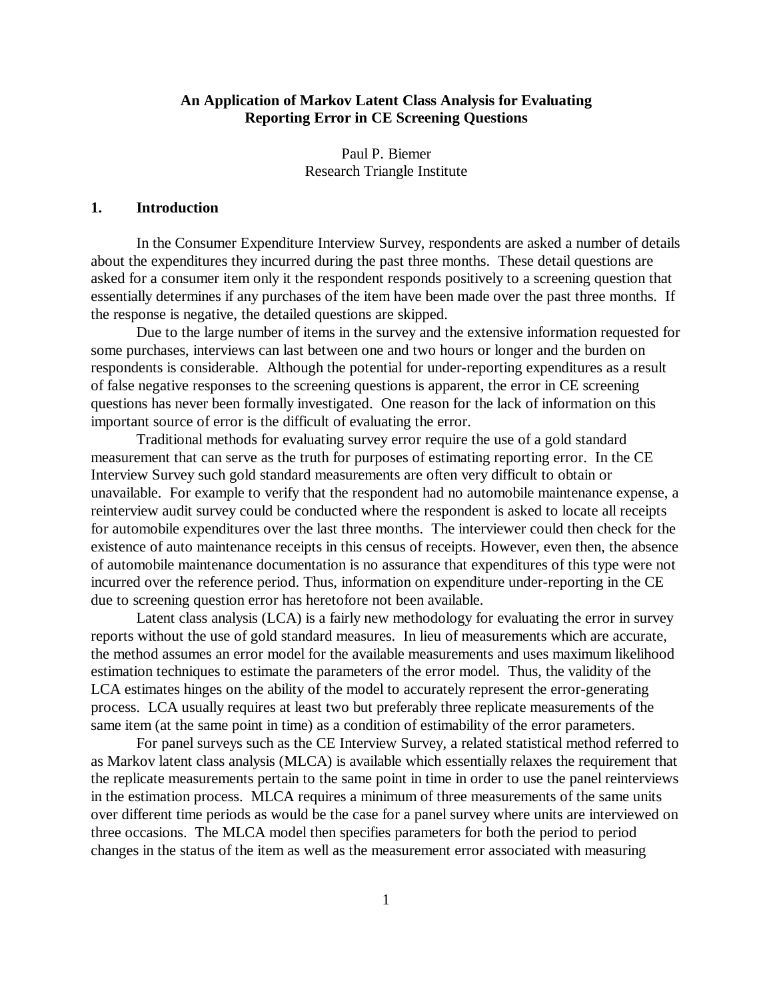## **An Application of Markov Latent Class Analysis for Evaluating Reporting Error in CE Screening Questions**

Paul P. Biemer Research Triangle Institute

### **1. Introduction**

In the Consumer Expenditure Interview Survey, respondents are asked a number of details about the expenditures they incurred during the past three months. These detail questions are asked for a consumer item only it the respondent responds positively to a screening question that essentially determines if any purchases of the item have been made over the past three months. If the response is negative, the detailed questions are skipped.

Due to the large number of items in the survey and the extensive information requested for some purchases, interviews can last between one and two hours or longer and the burden on respondents is considerable. Although the potential for under-reporting expenditures as a result of false negative responses to the screening questions is apparent, the error in CE screening questions has never been formally investigated. One reason for the lack of information on this important source of error is the difficult of evaluating the error.

Traditional methods for evaluating survey error require the use of a gold standard measurement that can serve as the truth for purposes of estimating reporting error. In the CE Interview Survey such gold standard measurements are often very difficult to obtain or unavailable. For example to verify that the respondent had no automobile maintenance expense, a reinterview audit survey could be conducted where the respondent is asked to locate all receipts for automobile expenditures over the last three months. The interviewer could then check for the existence of auto maintenance receipts in this census of receipts. However, even then, the absence of automobile maintenance documentation is no assurance that expenditures of this type were not incurred over the reference period. Thus, information on expenditure under-reporting in the CE due to screening question error has heretofore not been available.

Latent class analysis (LCA) is a fairly new methodology for evaluating the error in survey reports without the use of gold standard measures. In lieu of measurements which are accurate, the method assumes an error model for the available measurements and uses maximum likelihood estimation techniques to estimate the parameters of the error model. Thus, the validity of the LCA estimates hinges on the ability of the model to accurately represent the error-generating process. LCA usually requires at least two but preferably three replicate measurements of the same item (at the same point in time) as a condition of estimability of the error parameters.

For panel surveys such as the CE Interview Survey, a related statistical method referred to as Markov latent class analysis (MLCA) is available which essentially relaxes the requirement that the replicate measurements pertain to the same point in time in order to use the panel reinterviews in the estimation process. MLCA requires a minimum of three measurements of the same units over different time periods as would be the case for a panel survey where units are interviewed on three occasions. The MLCA model then specifies parameters for both the period to period changes in the status of the item as well as the measurement error associated with measuring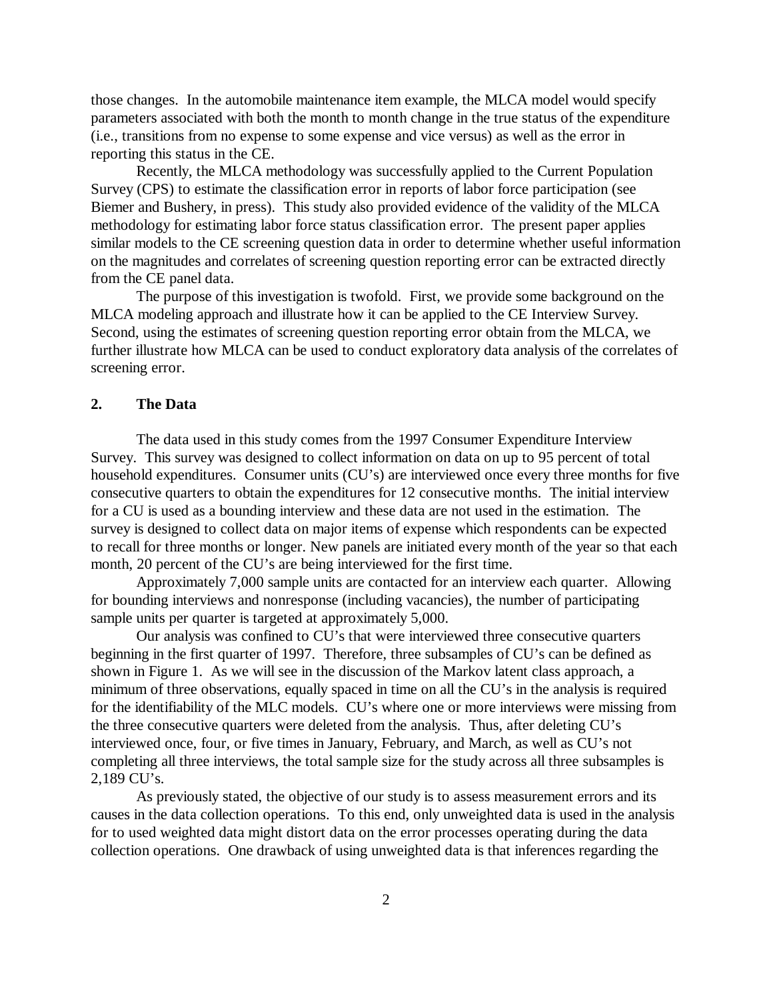those changes. In the automobile maintenance item example, the MLCA model would specify parameters associated with both the month to month change in the true status of the expenditure (i.e., transitions from no expense to some expense and vice versus) as well as the error in reporting this status in the CE.

Recently, the MLCA methodology was successfully applied to the Current Population Survey (CPS) to estimate the classification error in reports of labor force participation (see Biemer and Bushery, in press). This study also provided evidence of the validity of the MLCA methodology for estimating labor force status classification error. The present paper applies similar models to the CE screening question data in order to determine whether useful information on the magnitudes and correlates of screening question reporting error can be extracted directly from the CE panel data.

The purpose of this investigation is twofold. First, we provide some background on the MLCA modeling approach and illustrate how it can be applied to the CE Interview Survey. Second, using the estimates of screening question reporting error obtain from the MLCA, we further illustrate how MLCA can be used to conduct exploratory data analysis of the correlates of screening error.

### **2. The Data**

The data used in this study comes from the 1997 Consumer Expenditure Interview Survey. This survey was designed to collect information on data on up to 95 percent of total household expenditures. Consumer units (CU's) are interviewed once every three months for five consecutive quarters to obtain the expenditures for 12 consecutive months. The initial interview for a CU is used as a bounding interview and these data are not used in the estimation. The survey is designed to collect data on major items of expense which respondents can be expected to recall for three months or longer. New panels are initiated every month of the year so that each month, 20 percent of the CU's are being interviewed for the first time.

Approximately 7,000 sample units are contacted for an interview each quarter. Allowing for bounding interviews and nonresponse (including vacancies), the number of participating sample units per quarter is targeted at approximately 5,000.

Our analysis was confined to CU's that were interviewed three consecutive quarters beginning in the first quarter of 1997. Therefore, three subsamples of CU's can be defined as shown in Figure 1. As we will see in the discussion of the Markov latent class approach, a minimum of three observations, equally spaced in time on all the CU's in the analysis is required for the identifiability of the MLC models. CU's where one or more interviews were missing from the three consecutive quarters were deleted from the analysis. Thus, after deleting CU's interviewed once, four, or five times in January, February, and March, as well as CU's not completing all three interviews, the total sample size for the study across all three subsamples is 2,189 CU's.

As previously stated, the objective of our study is to assess measurement errors and its causes in the data collection operations. To this end, only unweighted data is used in the analysis for to used weighted data might distort data on the error processes operating during the data collection operations. One drawback of using unweighted data is that inferences regarding the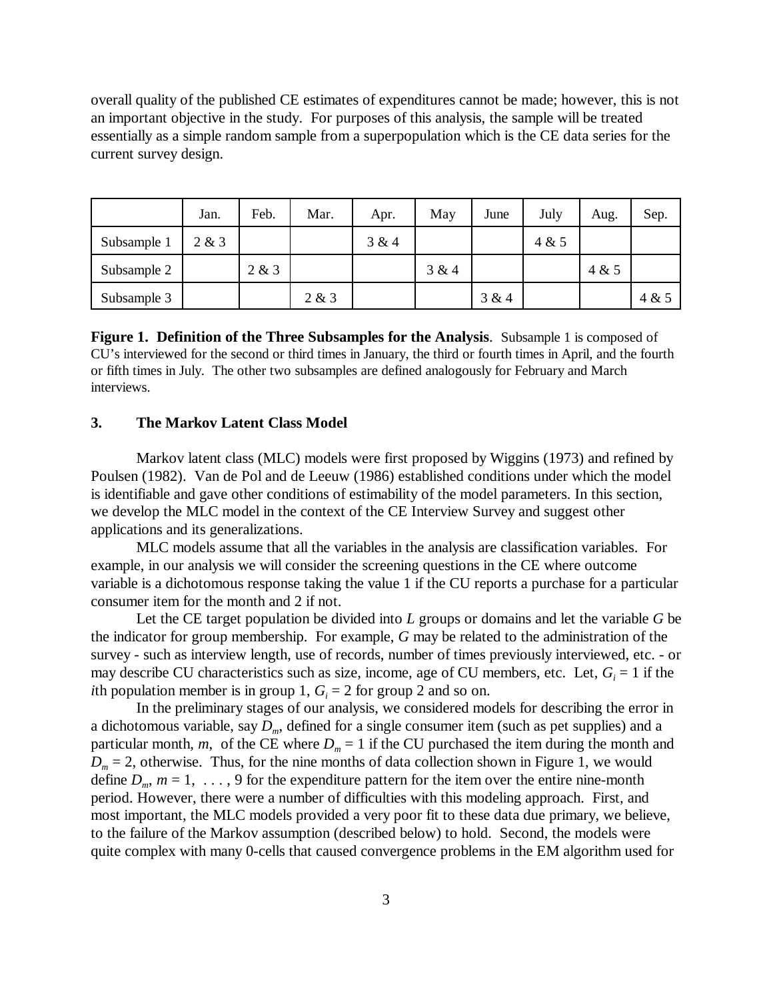overall quality of the published CE estimates of expenditures cannot be made; however, this is not an important objective in the study. For purposes of this analysis, the sample will be treated essentially as a simple random sample from a superpopulation which is the CE data series for the current survey design.

|             | Jan.  | Feb.  | Mar.  | Apr.  | May   | June  | July  | Aug.  | Sep.  |
|-------------|-------|-------|-------|-------|-------|-------|-------|-------|-------|
| Subsample 1 | 2 & 3 |       |       | 3 & 4 |       |       | 4 & 5 |       |       |
| Subsample 2 |       | 2 & 3 |       |       | 3 & 4 |       |       | 4 & 5 |       |
| Subsample 3 |       |       | 2 & 3 |       |       | 3 & 4 |       |       | 4 & 5 |

**Figure 1. Definition of the Three Subsamples for the Analysis**. Subsample 1 is composed of CU's interviewed for the second or third times in January, the third or fourth times in April, and the fourth or fifth times in July. The other two subsamples are defined analogously for February and March interviews.

### **3. The Markov Latent Class Model**

Markov latent class (MLC) models were first proposed by Wiggins (1973) and refined by Poulsen (1982). Van de Pol and de Leeuw (1986) established conditions under which the model is identifiable and gave other conditions of estimability of the model parameters. In this section, we develop the MLC model in the context of the CE Interview Survey and suggest other applications and its generalizations.

MLC models assume that all the variables in the analysis are classification variables. For example, in our analysis we will consider the screening questions in the CE where outcome variable is a dichotomous response taking the value 1 if the CU reports a purchase for a particular consumer item for the month and 2 if not.

Let the CE target population be divided into *L* groups or domains and let the variable *G* be the indicator for group membership. For example, *G* may be related to the administration of the survey - such as interview length, use of records, number of times previously interviewed, etc. - or may describe CU characteristics such as size, income, age of CU members, etc. Let,  $G_i = 1$  if the *i*th population member is in group 1,  $G_i = 2$  for group 2 and so on.

In the preliminary stages of our analysis, we considered models for describing the error in a dichotomous variable, say  $D_m$ , defined for a single consumer item (such as pet supplies) and a particular month, *m*, of the CE where  $D_m = 1$  if the CU purchased the item during the month and  $D_m = 2$ , otherwise. Thus, for the nine months of data collection shown in Figure 1, we would define  $D_m$ ,  $m = 1, \ldots, 9$  for the expenditure pattern for the item over the entire nine-month period. However, there were a number of difficulties with this modeling approach. First, and most important, the MLC models provided a very poor fit to these data due primary, we believe, to the failure of the Markov assumption (described below) to hold. Second, the models were quite complex with many 0-cells that caused convergence problems in the EM algorithm used for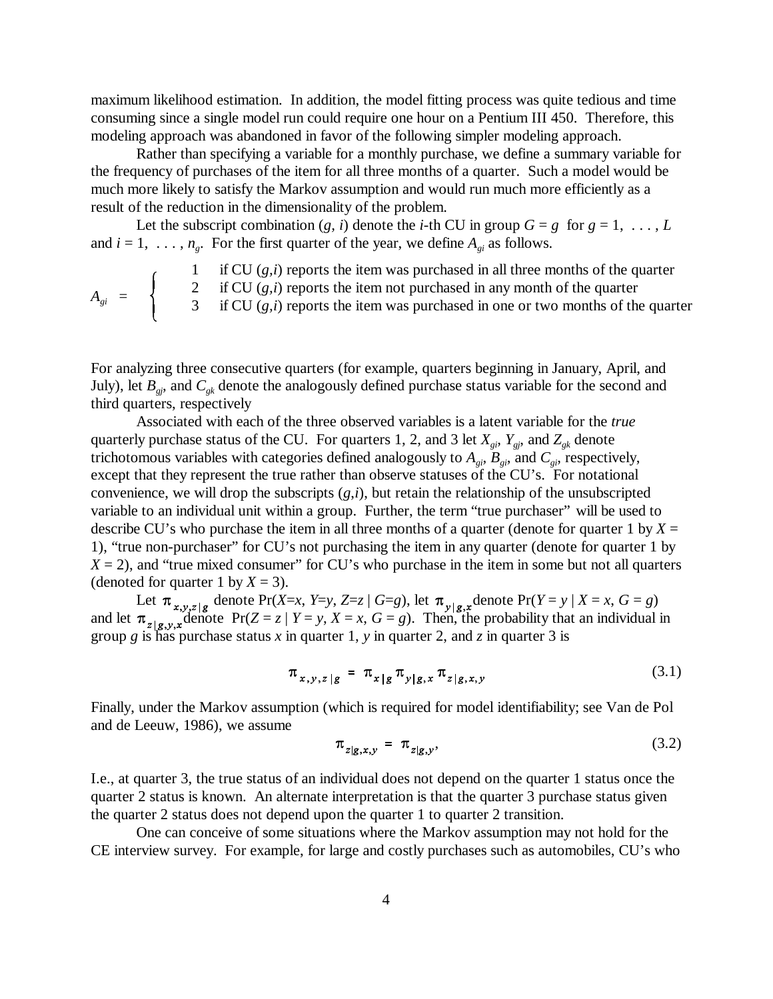maximum likelihood estimation. In addition, the model fitting process was quite tedious and time consuming since a single model run could require one hour on a Pentium III 450. Therefore, this modeling approach was abandoned in favor of the following simpler modeling approach.

Rather than specifying a variable for a monthly purchase, we define a summary variable for the frequency of purchases of the item for all three months of a quarter. Such a model would be much more likely to satisfy the Markov assumption and would run much more efficiently as a result of the reduction in the dimensionality of the problem.

Let the subscript combination  $(g, i)$  denote the *i*-th CU in group  $G = g$  for  $g = 1, \ldots, L$ and  $i = 1, \ldots, n_g$ . For the first quarter of the year, we define  $A_{gi}$  as follows.

if CU  $(g, i)$  reports the item was purchased in all three months of the quarter 2 if CU (*g,i*) reports the item not purchased in any month of the quarter  $A_{gi}$  =  $\begin{cases} 2 & \text{if } \text{CU}(g,i) \text{ reports the item not purchased in any month or the quarter} \\ 3 & \text{if } \text{CU}(g,i) \text{ reports the item was purchased in one or two months of the quarter.} \end{cases}$ 

For analyzing three consecutive quarters (for example, quarters beginning in January, April, and July), let  $B_{gj}$ , and  $C_{gk}$  denote the analogously defined purchase status variable for the second and third quarters, respectively

Associated with each of the three observed variables is a latent variable for the *true* quarterly purchase status of the CU. For quarters 1, 2, and 3 let  $X_{gi}$ ,  $Y_{gi}$ , and  $Z_{gk}$  denote trichotomous variables with categories defined analogously to  $A_{gi}$ ,  $B_{gi}$ , and  $C_{gi}$ , respectively, except that they represent the true rather than observe statuses of the CU's. For notational convenience, we will drop the subscripts (*g*,*i*), but retain the relationship of the unsubscripted variable to an individual unit within a group. Further, the term "true purchaser" will be used to describe CU's who purchase the item in all three months of a quarter (denote for quarter 1 by  $X =$ 1), "true non-purchaser" for CU's not purchasing the item in any quarter (denote for quarter 1 by  $X = 2$ ), and "true mixed consumer" for CU's who purchase in the item in some but not all quarters (denoted for quarter 1 by  $X = 3$ ).

Let  $\pi_{x,y,z|g}$  denote Pr(*X=x*, *Y=y*, *Z=z* | *G=g*), let  $\pi_{y|g}$  denote Pr(*Y* = *y* | *X* = *x*, *G* = *g*) and let  $\pi_{z|g}$ ,  $\chi$  denote  $Pr(Z = z | Y = y, X = x, G = g)$ . Then, the probability that an individual in group *g* is has purchase status *x* in quarter 1, *y* in quarter 2, and *z* in quarter 3 is

$$
\pi_{x,y,z|g} = \pi_{x|g} \pi_{y|g,x} \pi_{z|g,x,y}
$$
\n(3.1)

Finally, under the Markov assumption (which is required for model identifiability; see Van de Pol and de Leeuw, 1986), we assume

$$
\pi_{z|g,x,y} = \pi_{z|g,y},\tag{3.2}
$$

I.e., at quarter 3, the true status of an individual does not depend on the quarter 1 status once the quarter 2 status is known. An alternate interpretation is that the quarter 3 purchase status given the quarter 2 status does not depend upon the quarter 1 to quarter 2 transition.

One can conceive of some situations where the Markov assumption may not hold for the CE interview survey. For example, for large and costly purchases such as automobiles, CU's who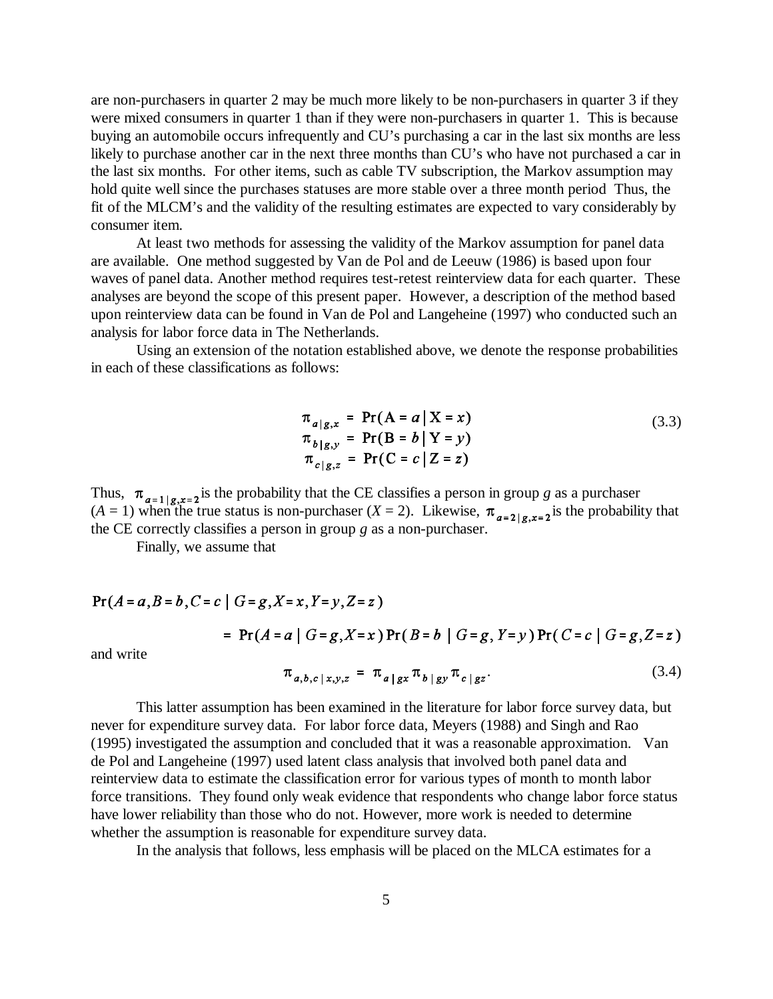are non-purchasers in quarter 2 may be much more likely to be non-purchasers in quarter 3 if they were mixed consumers in quarter 1 than if they were non-purchasers in quarter 1. This is because buying an automobile occurs infrequently and CU's purchasing a car in the last six months are less likely to purchase another car in the next three months than CU's who have not purchased a car in the last six months. For other items, such as cable TV subscription, the Markov assumption may hold quite well since the purchases statuses are more stable over a three month period Thus, the fit of the MLCM's and the validity of the resulting estimates are expected to vary considerably by consumer item.

At least two methods for assessing the validity of the Markov assumption for panel data are available. One method suggested by Van de Pol and de Leeuw (1986) is based upon four waves of panel data. Another method requires test-retest reinterview data for each quarter. These analyses are beyond the scope of this present paper. However, a description of the method based upon reinterview data can be found in Van de Pol and Langeheine (1997) who conducted such an analysis for labor force data in The Netherlands.

Using an extension of the notation established above, we denote the response probabilities in each of these classifications as follows:

$$
\pi_{a|g,x} = \Pr(A = a | X = x)
$$
  
\n
$$
\pi_{b|g,y} = \Pr(B = b | Y = y)
$$
  
\n
$$
\pi_{c|g,z} = \Pr(C = c | Z = z)
$$
\n(3.3)

Thus,  $\pi_{q=1|q,r=2}$  is the probability that the CE classifies a person in group *g* as a purchaser  $(A = 1)$  when the true status is non-purchaser  $(X = 2)$ . Likewise,  $\pi_{a=2|a|}$   $\pi_{2}$  is the probability that the CE correctly classifies a person in group *g* as a non-purchaser.

Finally, we assume that

$$
Pr(A = a, B = b, C = c | G = g, X = x, Y = y, Z = z)
$$

= 
$$
Pr(A = a | G = g, X = x) Pr(B = b | G = g, Y = y) Pr(C = c | G = g, Z = z)
$$

and write

$$
\pi_{a,b,c|x,y,z} = \pi_{a|gx} \pi_{b|gy} \pi_{c|gz}.
$$
\n(3.4)

This latter assumption has been examined in the literature for labor force survey data, but never for expenditure survey data. For labor force data, Meyers (1988) and Singh and Rao (1995) investigated the assumption and concluded that it was a reasonable approximation. Van de Pol and Langeheine (1997) used latent class analysis that involved both panel data and reinterview data to estimate the classification error for various types of month to month labor force transitions. They found only weak evidence that respondents who change labor force status have lower reliability than those who do not. However, more work is needed to determine whether the assumption is reasonable for expenditure survey data.

In the analysis that follows, less emphasis will be placed on the MLCA estimates for a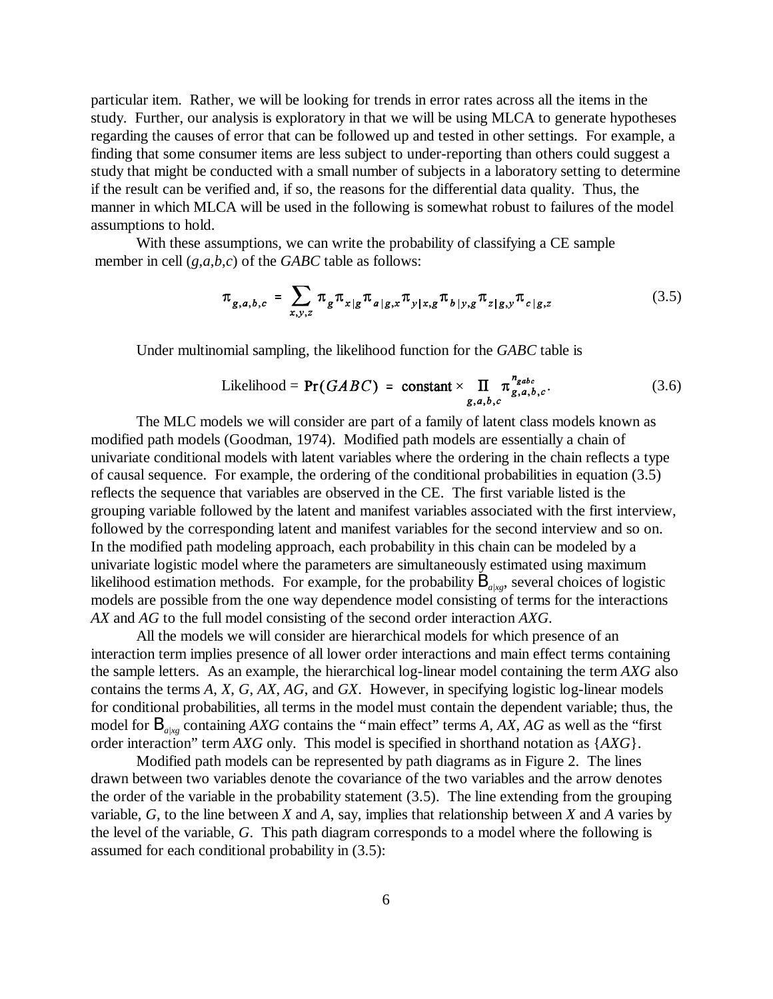particular item. Rather, we will be looking for trends in error rates across all the items in the study. Further, our analysis is exploratory in that we will be using MLCA to generate hypotheses regarding the causes of error that can be followed up and tested in other settings. For example, a finding that some consumer items are less subject to under-reporting than others could suggest a study that might be conducted with a small number of subjects in a laboratory setting to determine if the result can be verified and, if so, the reasons for the differential data quality. Thus, the manner in which MLCA will be used in the following is somewhat robust to failures of the model assumptions to hold.

With these assumptions, we can write the probability of classifying a CE sample member in cell (*g*,*a*,*b*,*c*) of the *GABC* table as follows:

$$
\pi_{g,a,b,c} = \sum_{x,y,z} \pi_g \pi_{x|g} \pi_{a|g,x} \pi_{y|x,g} \pi_{b|y,g} \pi_{z|g,y} \pi_{c|g,z}
$$
(3.5)

Under multinomial sampling, the likelihood function for the *GABC* table is

Likelihood = 
$$
Pr(GABC) = \text{constant} \times \prod_{g,a,b,c} \pi_{g,a,b,c}^{n_{gabc}}
$$
. (3.6)

The MLC models we will consider are part of a family of latent class models known as modified path models (Goodman, 1974). Modified path models are essentially a chain of univariate conditional models with latent variables where the ordering in the chain reflects a type of causal sequence. For example, the ordering of the conditional probabilities in equation (3.5) reflects the sequence that variables are observed in the CE. The first variable listed is the grouping variable followed by the latent and manifest variables associated with the first interview, followed by the corresponding latent and manifest variables for the second interview and so on. In the modified path modeling approach, each probability in this chain can be modeled by a univariate logistic model where the parameters are simultaneously estimated using maximum likelihood estimation methods. For example, for the probability  $B_{\text{at},g}$ , several choices of logistic models are possible from the one way dependence model consisting of terms for the interactions *AX* and *AG* to the full model consisting of the second order interaction *AXG*.

All the models we will consider are hierarchical models for which presence of an interaction term implies presence of all lower order interactions and main effect terms containing the sample letters. As an example, the hierarchical log-linear model containing the term *AXG* also contains the terms *A*, *X*, *G*, *AX*, *AG*, and *GX*. However, in specifying logistic log-linear models for conditional probabilities, all terms in the model must contain the dependent variable; thus, the model for B*a|xg* containing *AXG* contains the "main effect" terms *A*, *AX*, *AG* as well as the "first order interaction" term *AXG* only. This model is specified in shorthand notation as {*AXG*}.

Modified path models can be represented by path diagrams as in Figure 2. The lines drawn between two variables denote the covariance of the two variables and the arrow denotes the order of the variable in the probability statement (3.5). The line extending from the grouping variable, *G*, to the line between *X* and *A*, say, implies that relationship between *X* and *A* varies by the level of the variable, *G*. This path diagram corresponds to a model where the following is assumed for each conditional probability in (3.5):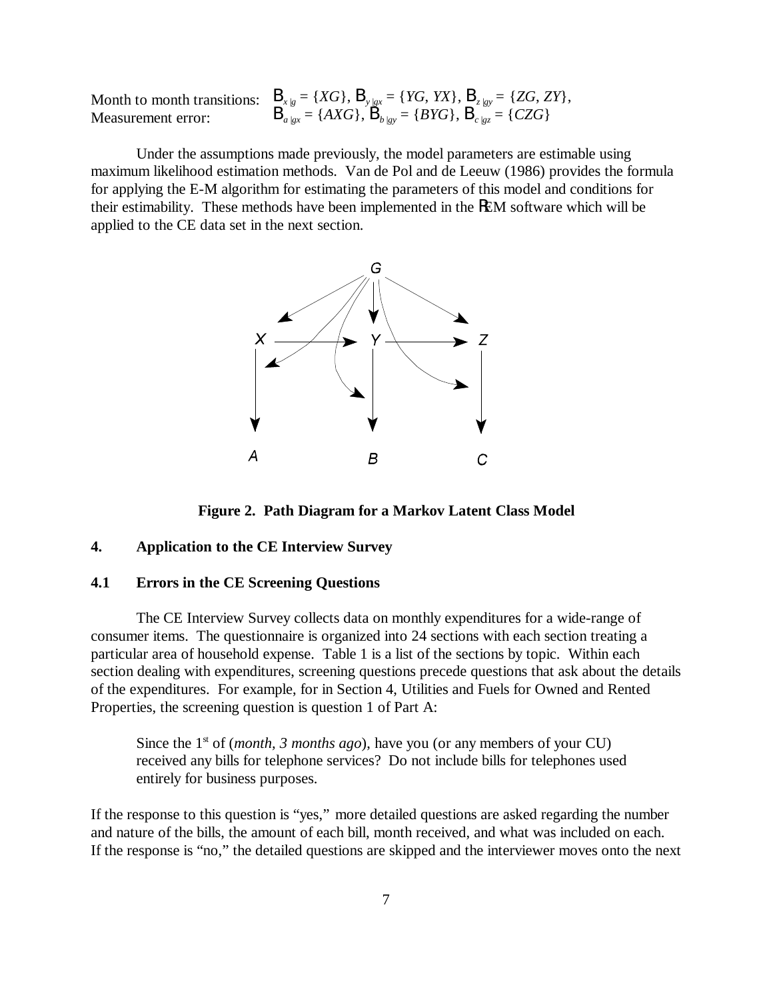Month to month transitions:  $Measured$ *n*  $Bareq$ ,  $Bareq$ ,  $Bareq$ ,  $Bareq$ ,  $Bareq$ ,  $Bareq$ ,  $Bareq$ ,  $Bareq$ ,  $Bareq$ ,  $Bareq$ ,  $Bareq$ ,  $Bareq$ ,  $Bareq$ ,  $Bareq$ ,  $Bareq$ ,  $Bareq$ ,  $Bareq$ ,  $Bareq$ ,  $Bareq$ ,  $Bareq$ ,  $Bareq$ ,  $Bareq$ ,  $Bareq$ ,  $Bareq$ ,  $Bareq$ ,  $Bareq$ ,  $Bareq$ ,  $Bareq$ ,  $Bareq$ ,  $Bareq$ ,  $Bareq$ 

: 
$$
B_{x|g} = \{XG\}, B_{y|gx} = \{YG, YX\}, B_{z|gy} = \{ZG, ZY\},
$$
  
\n $B_{a|xx} = \{AXG\}, B_{b|gy} = \{BYG\}, B_{c|gz} = \{CZG\}$ 

Under the assumptions made previously, the model parameters are estimable using maximum likelihood estimation methods. Van de Pol and de Leeuw (1986) provides the formula for applying the E-M algorithm for estimating the parameters of this model and conditions for their estimability. These methods have been implemented in the REM software which will be applied to the CE data set in the next section.



**Figure 2. Path Diagram for a Markov Latent Class Model**

### **4. Application to the CE Interview Survey**

### **4.1 Errors in the CE Screening Questions**

The CE Interview Survey collects data on monthly expenditures for a wide-range of consumer items. The questionnaire is organized into 24 sections with each section treating a particular area of household expense. Table 1 is a list of the sections by topic. Within each section dealing with expenditures, screening questions precede questions that ask about the details of the expenditures. For example, for in Section 4, Utilities and Fuels for Owned and Rented Properties, the screening question is question 1 of Part A:

Since the 1<sup>st</sup> of (*month, 3 months ago*), have you (or any members of your CU) received any bills for telephone services? Do not include bills for telephones used entirely for business purposes.

If the response to this question is "yes," more detailed questions are asked regarding the number and nature of the bills, the amount of each bill, month received, and what was included on each. If the response is "no," the detailed questions are skipped and the interviewer moves onto the next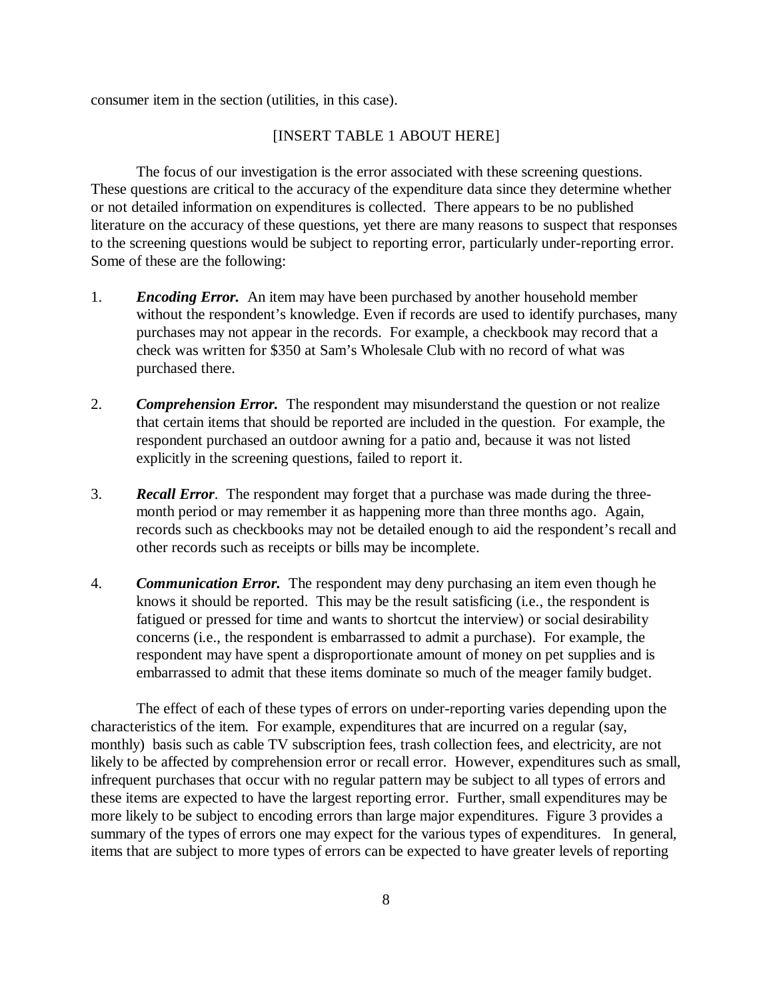consumer item in the section (utilities, in this case).

### [INSERT TABLE 1 ABOUT HERE]

The focus of our investigation is the error associated with these screening questions. These questions are critical to the accuracy of the expenditure data since they determine whether or not detailed information on expenditures is collected. There appears to be no published literature on the accuracy of these questions, yet there are many reasons to suspect that responses to the screening questions would be subject to reporting error, particularly under-reporting error. Some of these are the following:

- 1. *Encoding Error.* An item may have been purchased by another household member without the respondent's knowledge. Even if records are used to identify purchases, many purchases may not appear in the records. For example, a checkbook may record that a check was written for \$350 at Sam's Wholesale Club with no record of what was purchased there.
- 2. *Comprehension Error.* The respondent may misunderstand the question or not realize that certain items that should be reported are included in the question. For example, the respondent purchased an outdoor awning for a patio and, because it was not listed explicitly in the screening questions, failed to report it.
- 3. *Recall Error*. The respondent may forget that a purchase was made during the threemonth period or may remember it as happening more than three months ago. Again, records such as checkbooks may not be detailed enough to aid the respondent's recall and other records such as receipts or bills may be incomplete.
- 4. *Communication Error.* The respondent may deny purchasing an item even though he knows it should be reported. This may be the result satisficing (i.e., the respondent is fatigued or pressed for time and wants to shortcut the interview) or social desirability concerns (i.e., the respondent is embarrassed to admit a purchase). For example, the respondent may have spent a disproportionate amount of money on pet supplies and is embarrassed to admit that these items dominate so much of the meager family budget.

The effect of each of these types of errors on under-reporting varies depending upon the characteristics of the item. For example, expenditures that are incurred on a regular (say, monthly) basis such as cable TV subscription fees, trash collection fees, and electricity, are not likely to be affected by comprehension error or recall error. However, expenditures such as small, infrequent purchases that occur with no regular pattern may be subject to all types of errors and these items are expected to have the largest reporting error. Further, small expenditures may be more likely to be subject to encoding errors than large major expenditures. Figure 3 provides a summary of the types of errors one may expect for the various types of expenditures. In general, items that are subject to more types of errors can be expected to have greater levels of reporting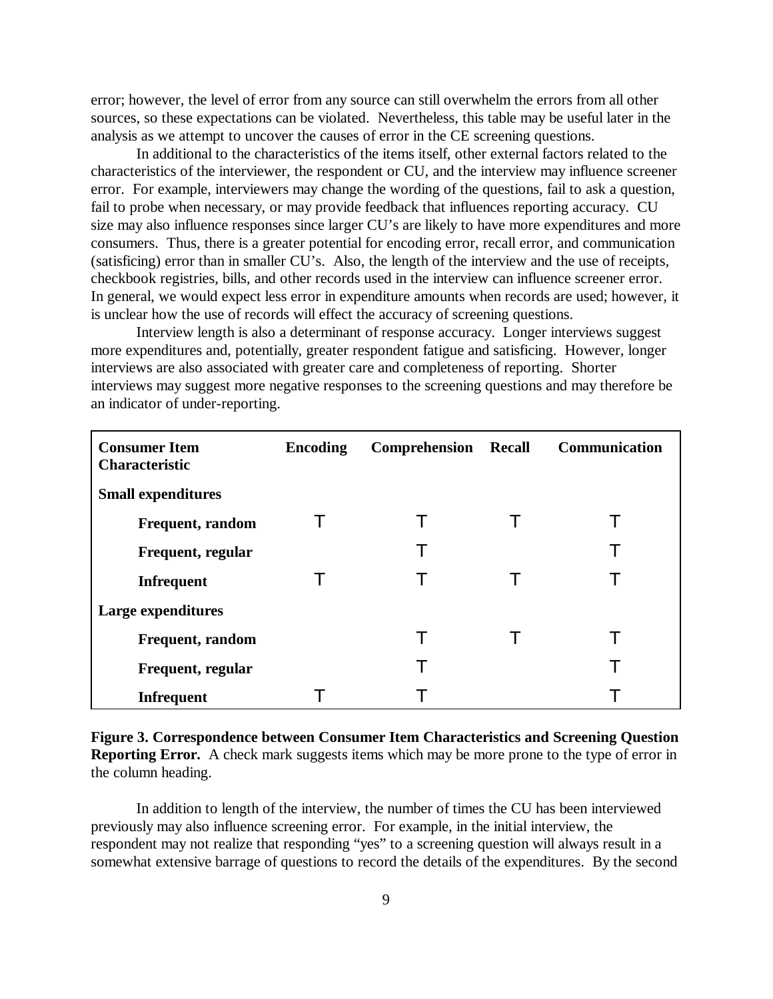error; however, the level of error from any source can still overwhelm the errors from all other sources, so these expectations can be violated. Nevertheless, this table may be useful later in the analysis as we attempt to uncover the causes of error in the CE screening questions.

In additional to the characteristics of the items itself, other external factors related to the characteristics of the interviewer, the respondent or CU, and the interview may influence screener error. For example, interviewers may change the wording of the questions, fail to ask a question, fail to probe when necessary, or may provide feedback that influences reporting accuracy. CU size may also influence responses since larger CU's are likely to have more expenditures and more consumers. Thus, there is a greater potential for encoding error, recall error, and communication (satisficing) error than in smaller CU's. Also, the length of the interview and the use of receipts, checkbook registries, bills, and other records used in the interview can influence screener error. In general, we would expect less error in expenditure amounts when records are used; however, it is unclear how the use of records will effect the accuracy of screening questions.

Interview length is also a determinant of response accuracy. Longer interviews suggest more expenditures and, potentially, greater respondent fatigue and satisficing. However, longer interviews are also associated with greater care and completeness of reporting. Shorter interviews may suggest more negative responses to the screening questions and may therefore be an indicator of under-reporting.

| <b>Consumer Item</b><br><b>Characteristic</b> | <b>Encoding</b> | Comprehension | <b>Recall</b> | Communication |
|-----------------------------------------------|-----------------|---------------|---------------|---------------|
| <b>Small expenditures</b>                     |                 |               |               |               |
| <b>Frequent, random</b>                       |                 |               |               |               |
| Frequent, regular                             |                 | т             |               |               |
| <b>Infrequent</b>                             |                 | Т             |               |               |
| Large expenditures                            |                 |               |               |               |
| <b>Frequent, random</b>                       |                 |               |               |               |
| Frequent, regular                             |                 | т             |               |               |
| <b>Infrequent</b>                             |                 |               |               |               |

**Figure 3. Correspondence between Consumer Item Characteristics and Screening Question Reporting Error.** A check mark suggests items which may be more prone to the type of error in the column heading.

In addition to length of the interview, the number of times the CU has been interviewed previously may also influence screening error. For example, in the initial interview, the respondent may not realize that responding "yes" to a screening question will always result in a somewhat extensive barrage of questions to record the details of the expenditures. By the second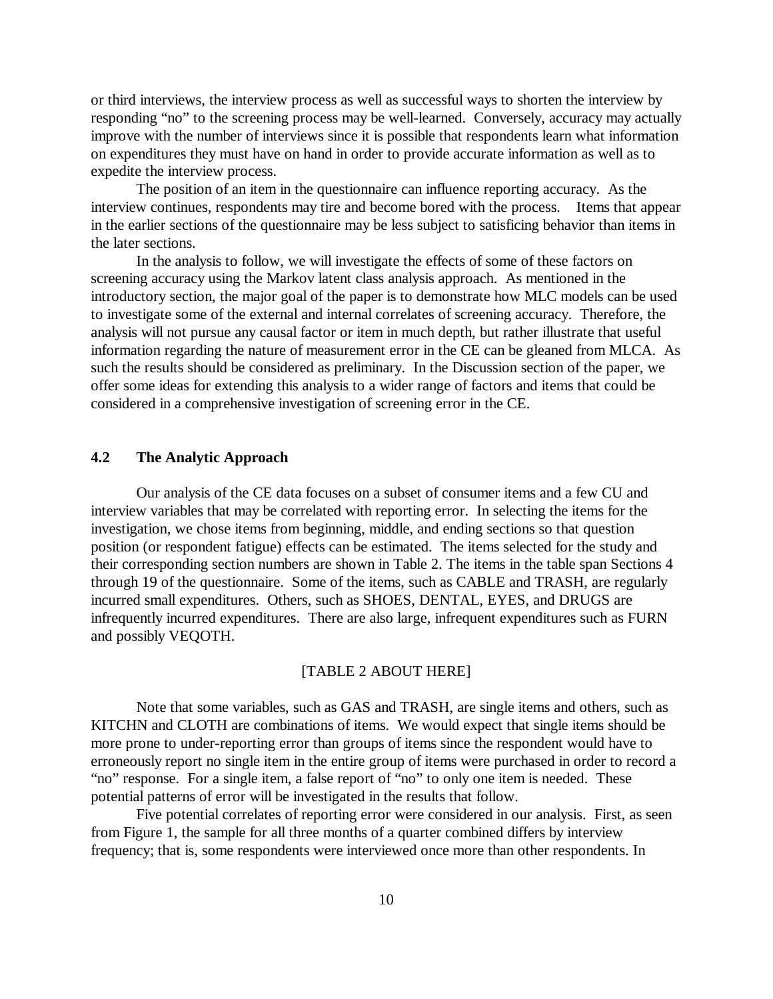or third interviews, the interview process as well as successful ways to shorten the interview by responding "no" to the screening process may be well-learned. Conversely, accuracy may actually improve with the number of interviews since it is possible that respondents learn what information on expenditures they must have on hand in order to provide accurate information as well as to expedite the interview process.

The position of an item in the questionnaire can influence reporting accuracy. As the interview continues, respondents may tire and become bored with the process. Items that appear in the earlier sections of the questionnaire may be less subject to satisficing behavior than items in the later sections.

In the analysis to follow, we will investigate the effects of some of these factors on screening accuracy using the Markov latent class analysis approach. As mentioned in the introductory section, the major goal of the paper is to demonstrate how MLC models can be used to investigate some of the external and internal correlates of screening accuracy. Therefore, the analysis will not pursue any causal factor or item in much depth, but rather illustrate that useful information regarding the nature of measurement error in the CE can be gleaned from MLCA. As such the results should be considered as preliminary. In the Discussion section of the paper, we offer some ideas for extending this analysis to a wider range of factors and items that could be considered in a comprehensive investigation of screening error in the CE.

## **4.2 The Analytic Approach**

Our analysis of the CE data focuses on a subset of consumer items and a few CU and interview variables that may be correlated with reporting error. In selecting the items for the investigation, we chose items from beginning, middle, and ending sections so that question position (or respondent fatigue) effects can be estimated. The items selected for the study and their corresponding section numbers are shown in Table 2. The items in the table span Sections 4 through 19 of the questionnaire. Some of the items, such as CABLE and TRASH, are regularly incurred small expenditures. Others, such as SHOES, DENTAL, EYES, and DRUGS are infrequently incurred expenditures. There are also large, infrequent expenditures such as FURN and possibly VEQOTH.

#### [TABLE 2 ABOUT HERE]

Note that some variables, such as GAS and TRASH, are single items and others, such as KITCHN and CLOTH are combinations of items. We would expect that single items should be more prone to under-reporting error than groups of items since the respondent would have to erroneously report no single item in the entire group of items were purchased in order to record a "no" response. For a single item, a false report of "no" to only one item is needed. These potential patterns of error will be investigated in the results that follow.

Five potential correlates of reporting error were considered in our analysis. First, as seen from Figure 1, the sample for all three months of a quarter combined differs by interview frequency; that is, some respondents were interviewed once more than other respondents. In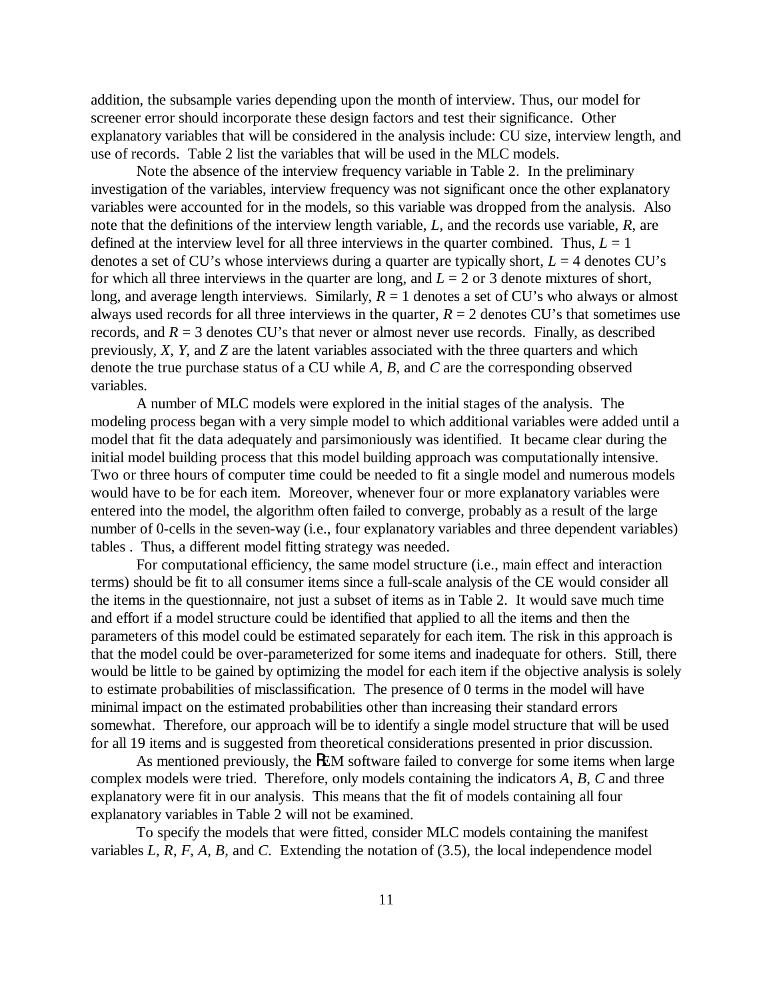addition, the subsample varies depending upon the month of interview. Thus, our model for screener error should incorporate these design factors and test their significance. Other explanatory variables that will be considered in the analysis include: CU size, interview length, and use of records. Table 2 list the variables that will be used in the MLC models.

Note the absence of the interview frequency variable in Table 2. In the preliminary investigation of the variables, interview frequency was not significant once the other explanatory variables were accounted for in the models, so this variable was dropped from the analysis. Also note that the definitions of the interview length variable, *L*, and the records use variable, *R*, are defined at the interview level for all three interviews in the quarter combined. Thus,  $L = 1$ denotes a set of CU's whose interviews during a quarter are typically short,  $L = 4$  denotes CU's for which all three interviews in the quarter are long, and  $L = 2$  or 3 denote mixtures of short, long, and average length interviews. Similarly,  $R = 1$  denotes a set of CU's who always or almost always used records for all three interviews in the quarter,  $R = 2$  denotes CU's that sometimes use records, and  $R = 3$  denotes CU's that never or almost never use records. Finally, as described previously, *X*, *Y*, and *Z* are the latent variables associated with the three quarters and which denote the true purchase status of a CU while *A*, *B*, and *C* are the corresponding observed variables.

A number of MLC models were explored in the initial stages of the analysis. The modeling process began with a very simple model to which additional variables were added until a model that fit the data adequately and parsimoniously was identified. It became clear during the initial model building process that this model building approach was computationally intensive. Two or three hours of computer time could be needed to fit a single model and numerous models would have to be for each item. Moreover, whenever four or more explanatory variables were entered into the model, the algorithm often failed to converge, probably as a result of the large number of 0-cells in the seven-way (i.e., four explanatory variables and three dependent variables) tables . Thus, a different model fitting strategy was needed.

For computational efficiency, the same model structure (i.e., main effect and interaction terms) should be fit to all consumer items since a full-scale analysis of the CE would consider all the items in the questionnaire, not just a subset of items as in Table 2. It would save much time and effort if a model structure could be identified that applied to all the items and then the parameters of this model could be estimated separately for each item. The risk in this approach is that the model could be over-parameterized for some items and inadequate for others. Still, there would be little to be gained by optimizing the model for each item if the objective analysis is solely to estimate probabilities of misclassification. The presence of 0 terms in the model will have minimal impact on the estimated probabilities other than increasing their standard errors somewhat. Therefore, our approach will be to identify a single model structure that will be used for all 19 items and is suggested from theoretical considerations presented in prior discussion.

As mentioned previously, the REM software failed to converge for some items when large complex models were tried. Therefore, only models containing the indicators *A*, *B*, *C* and three explanatory were fit in our analysis. This means that the fit of models containing all four explanatory variables in Table 2 will not be examined.

To specify the models that were fitted, consider MLC models containing the manifest variables *L*, *R*, *F*, *A*, *B*, and *C*. Extending the notation of (3.5), the local independence model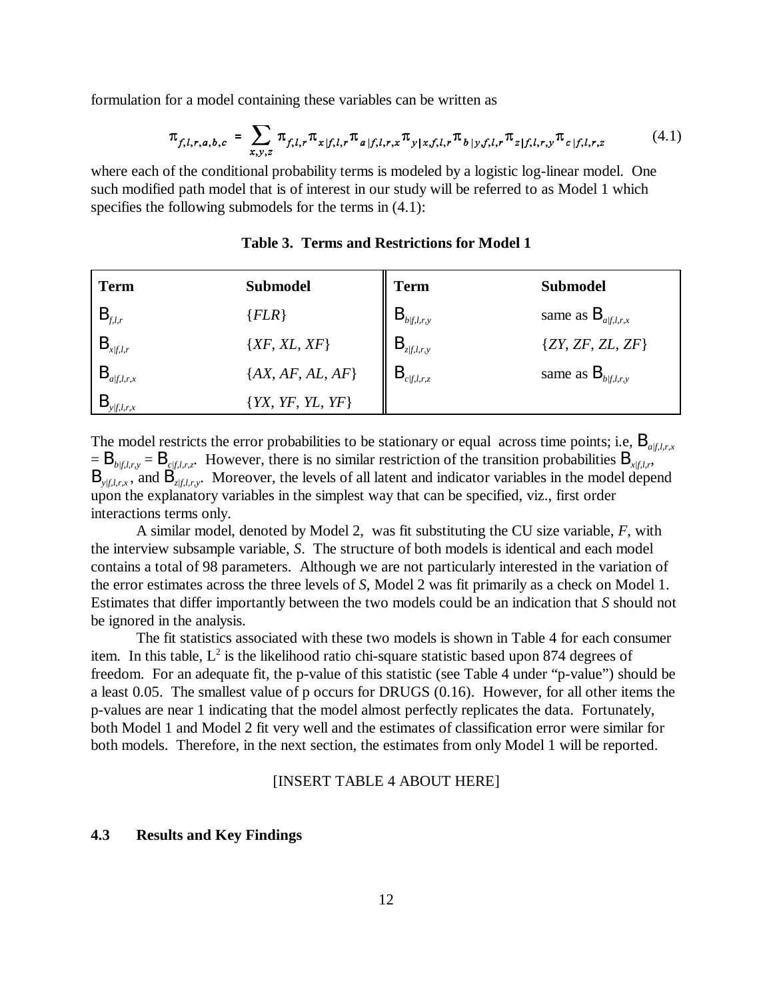formulation for a model containing these variables can be written as

$$
\pi_{f,l,r,a,b,c} = \sum_{x,y,z} \pi_{f,l,r} \pi_{x|f,l,r} \pi_{a|f,l,r,x} \pi_{y|x,f,l,r} \pi_{b|y,f,l,r} \pi_{z|f,l,r,y} \pi_{c|f,l,r,z}
$$
(4.1)

where each of the conditional probability terms is modeled by a logistic log-linear model. One such modified path model that is of interest in our study will be referred to as Model 1 which specifies the following submodels for the terms in  $(4.1)$ :

| <b>Term</b>            | <b>Submodel</b>      | <b>Term</b>                                                                         | <b>Submodel</b>                |
|------------------------|----------------------|-------------------------------------------------------------------------------------|--------------------------------|
| $B_{f,l,r}$            | ${FLR}$              | $\mathbf{B}_{\textit{b} \textit{f} \textit{f}, \textit{l}, \textit{r}, \textit{y}}$ | same as $B_{a/f,l,r,x}$        |
| $\mathbf{B}_{x/f,l,r}$ | $\{XF, XL, XF\}$     | $B_{z f,l,r,y}$                                                                     | $\{ZY, ZF, ZL, ZF\}$           |
| $B_{a/f,l,r,x}$        | $\{AX, AF, AL, AF\}$ | $\mathbf{B}_{\textit{clf},l,r,z}$                                                   | same as $B_{\text{b/f,l,r,y}}$ |
| y/f, l, r, x           | ${YX, YF, YL, YF}$   |                                                                                     |                                |

**Table 3. Terms and Restrictions for Model 1**

The model restricts the error probabilities to be stationary or equal across time points; i.e,  $B_{a/\ell, l,x}$  $=$   $B_{b/f,l,r,y}$   $=$   $B_{c/f,l,r,z}$ . However, there is no similar restriction of the transition probabilities  $B_{x/f,l,r}$ , B<sub>*yf,l,r,x*</sub>, and B<sub>*zf,l,r,y*</sub>. Moreover, the levels of all latent and indicator variables in the model depend upon the explanatory variables in the simplest way that can be specified, viz., first order interactions terms only.

A similar model, denoted by Model 2, was fit substituting the CU size variable, *F*, with the interview subsample variable, *S*. The structure of both models is identical and each model contains a total of 98 parameters. Although we are not particularly interested in the variation of the error estimates across the three levels of *S*, Model 2 was fit primarily as a check on Model 1. Estimates that differ importantly between the two models could be an indication that *S* should not be ignored in the analysis.

The fit statistics associated with these two models is shown in Table 4 for each consumer item. In this table,  $L^2$  is the likelihood ratio chi-square statistic based upon 874 degrees of freedom. For an adequate fit, the p-value of this statistic (see Table 4 under "p-value") should be a least 0.05. The smallest value of p occurs for DRUGS (0.16). However, for all other items the p-values are near 1 indicating that the model almost perfectly replicates the data. Fortunately, both Model 1 and Model 2 fit very well and the estimates of classification error were similar for both models. Therefore, in the next section, the estimates from only Model 1 will be reported.

#### [INSERT TABLE 4 ABOUT HERE]

## **4.3 Results and Key Findings**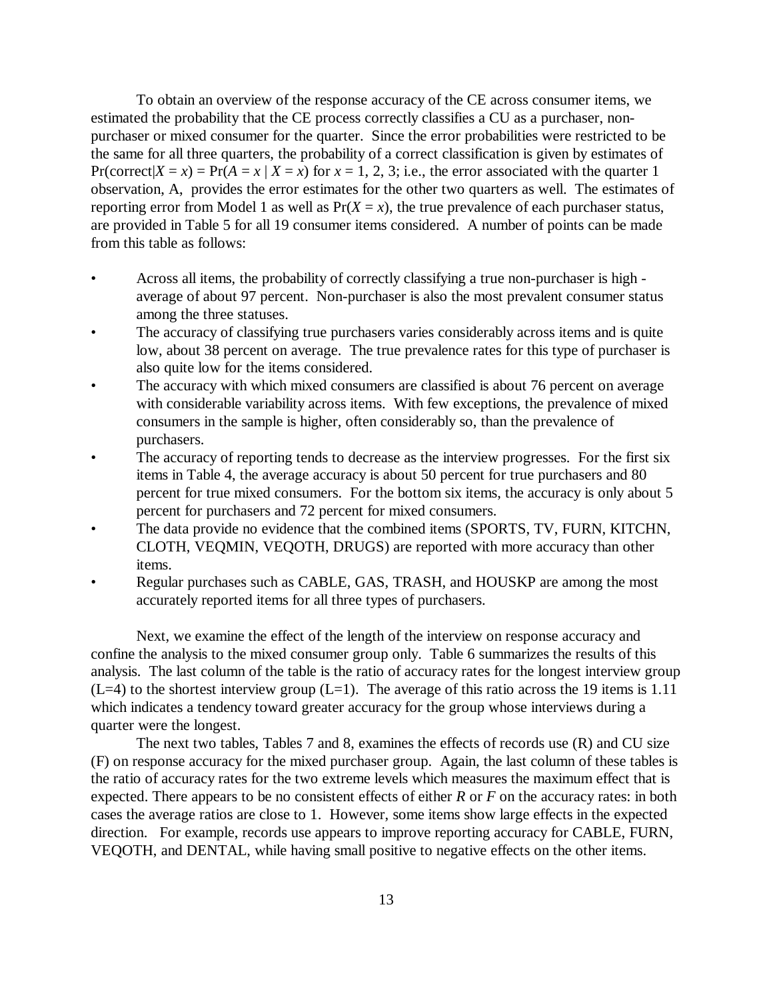To obtain an overview of the response accuracy of the CE across consumer items, we estimated the probability that the CE process correctly classifies a CU as a purchaser, nonpurchaser or mixed consumer for the quarter. Since the error probabilities were restricted to be the same for all three quarters, the probability of a correct classification is given by estimates of Pr(correct| $X = x$ ) = Pr( $A = x | X = x$ ) for  $x = 1, 2, 3$ ; i.e., the error associated with the quarter 1 observation, A, provides the error estimates for the other two quarters as well. The estimates of reporting error from Model 1 as well as  $Pr(X = x)$ , the true prevalence of each purchaser status, are provided in Table 5 for all 19 consumer items considered. A number of points can be made from this table as follows:

- Across all items, the probability of correctly classifying a true non-purchaser is high average of about 97 percent. Non-purchaser is also the most prevalent consumer status among the three statuses.
- The accuracy of classifying true purchasers varies considerably across items and is quite low, about 38 percent on average. The true prevalence rates for this type of purchaser is also quite low for the items considered.
- The accuracy with which mixed consumers are classified is about 76 percent on average with considerable variability across items. With few exceptions, the prevalence of mixed consumers in the sample is higher, often considerably so, than the prevalence of purchasers.
- The accuracy of reporting tends to decrease as the interview progresses. For the first six items in Table 4, the average accuracy is about 50 percent for true purchasers and 80 percent for true mixed consumers. For the bottom six items, the accuracy is only about 5 percent for purchasers and 72 percent for mixed consumers.
- The data provide no evidence that the combined items (SPORTS, TV, FURN, KITCHN, CLOTH, VEQMIN, VEQOTH, DRUGS) are reported with more accuracy than other items.
- Regular purchases such as CABLE, GAS, TRASH, and HOUSKP are among the most accurately reported items for all three types of purchasers.

Next, we examine the effect of the length of the interview on response accuracy and confine the analysis to the mixed consumer group only. Table 6 summarizes the results of this analysis. The last column of the table is the ratio of accuracy rates for the longest interview group  $(L=4)$  to the shortest interview group  $(L=1)$ . The average of this ratio across the 19 items is 1.11 which indicates a tendency toward greater accuracy for the group whose interviews during a quarter were the longest.

The next two tables, Tables 7 and 8, examines the effects of records use (R) and CU size (F) on response accuracy for the mixed purchaser group. Again, the last column of these tables is the ratio of accuracy rates for the two extreme levels which measures the maximum effect that is expected. There appears to be no consistent effects of either *R* or *F* on the accuracy rates: in both cases the average ratios are close to 1. However, some items show large effects in the expected direction. For example, records use appears to improve reporting accuracy for CABLE, FURN, VEQOTH, and DENTAL, while having small positive to negative effects on the other items.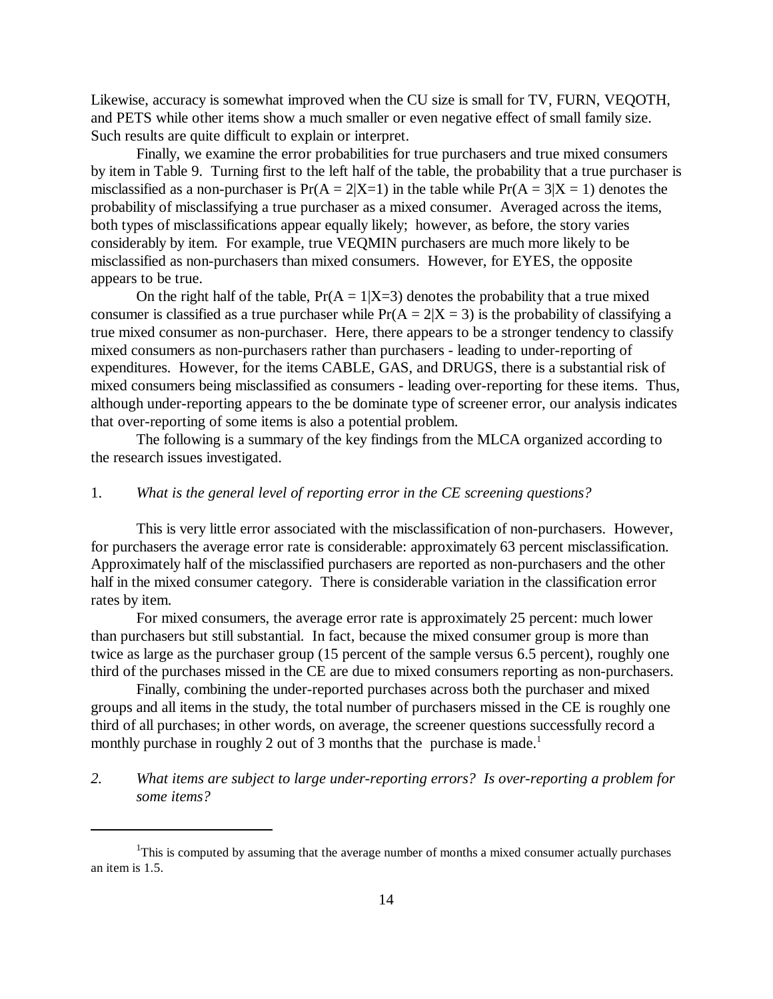Likewise, accuracy is somewhat improved when the CU size is small for TV, FURN, VEQOTH, and PETS while other items show a much smaller or even negative effect of small family size. Such results are quite difficult to explain or interpret.

Finally, we examine the error probabilities for true purchasers and true mixed consumers by item in Table 9. Turning first to the left half of the table, the probability that a true purchaser is misclassified as a non-purchaser is  $Pr(A = 2|X=1)$  in the table while  $Pr(A = 3|X=1)$  denotes the probability of misclassifying a true purchaser as a mixed consumer. Averaged across the items, both types of misclassifications appear equally likely; however, as before, the story varies considerably by item. For example, true VEQMIN purchasers are much more likely to be misclassified as non-purchasers than mixed consumers. However, for EYES, the opposite appears to be true.

On the right half of the table,  $Pr(A = 1|X=3)$  denotes the probability that a true mixed consumer is classified as a true purchaser while  $Pr(A = 2|X = 3)$  is the probability of classifying a true mixed consumer as non-purchaser. Here, there appears to be a stronger tendency to classify mixed consumers as non-purchasers rather than purchasers - leading to under-reporting of expenditures. However, for the items CABLE, GAS, and DRUGS, there is a substantial risk of mixed consumers being misclassified as consumers - leading over-reporting for these items. Thus, although under-reporting appears to the be dominate type of screener error, our analysis indicates that over-reporting of some items is also a potential problem.

The following is a summary of the key findings from the MLCA organized according to the research issues investigated.

## 1. *What is the general level of reporting error in the CE screening questions?*

This is very little error associated with the misclassification of non-purchasers. However, for purchasers the average error rate is considerable: approximately 63 percent misclassification. Approximately half of the misclassified purchasers are reported as non-purchasers and the other half in the mixed consumer category. There is considerable variation in the classification error rates by item.

For mixed consumers, the average error rate is approximately 25 percent: much lower than purchasers but still substantial. In fact, because the mixed consumer group is more than twice as large as the purchaser group (15 percent of the sample versus 6.5 percent), roughly one third of the purchases missed in the CE are due to mixed consumers reporting as non-purchasers.

Finally, combining the under-reported purchases across both the purchaser and mixed groups and all items in the study, the total number of purchasers missed in the CE is roughly one third of all purchases; in other words, on average, the screener questions successfully record a monthly purchase in roughly 2 out of 3 months that the purchase is made.<sup>1</sup>

*2. What items are subject to large under-reporting errors? Is over-reporting a problem for some items?*

<sup>&</sup>lt;sup>1</sup>This is computed by assuming that the average number of months a mixed consumer actually purchases an item is 1.5.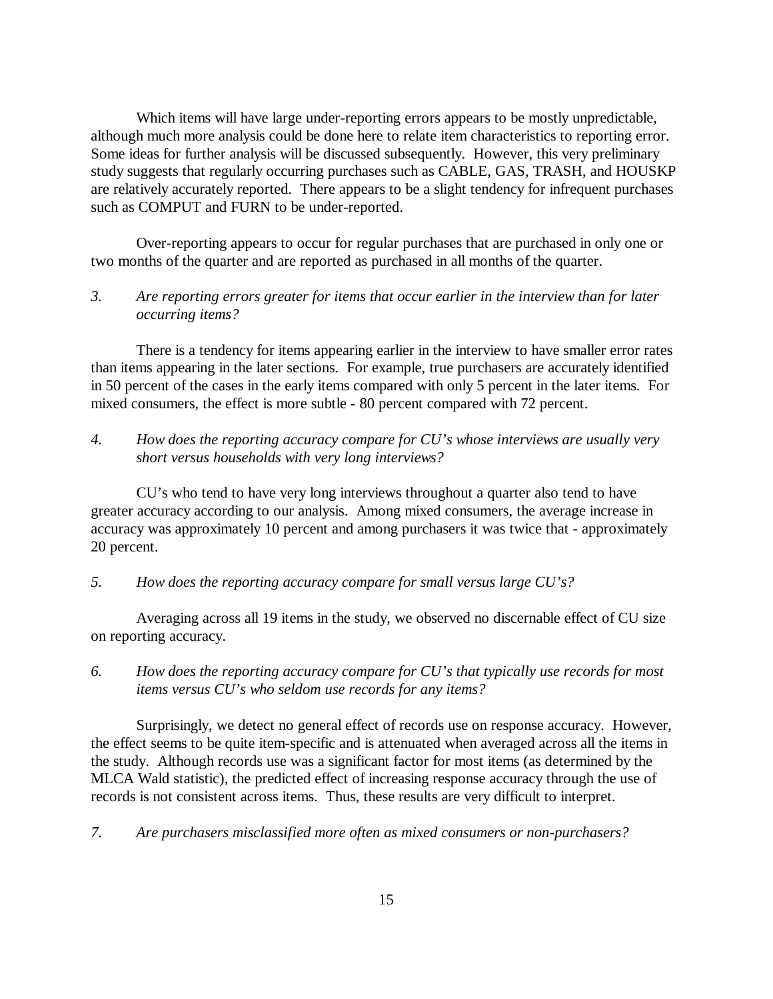Which items will have large under-reporting errors appears to be mostly unpredictable, although much more analysis could be done here to relate item characteristics to reporting error. Some ideas for further analysis will be discussed subsequently. However, this very preliminary study suggests that regularly occurring purchases such as CABLE, GAS, TRASH, and HOUSKP are relatively accurately reported. There appears to be a slight tendency for infrequent purchases such as COMPUT and FURN to be under-reported.

Over-reporting appears to occur for regular purchases that are purchased in only one or two months of the quarter and are reported as purchased in all months of the quarter.

## *3. Are reporting errors greater for items that occur earlier in the interview than for later occurring items?*

There is a tendency for items appearing earlier in the interview to have smaller error rates than items appearing in the later sections. For example, true purchasers are accurately identified in 50 percent of the cases in the early items compared with only 5 percent in the later items. For mixed consumers, the effect is more subtle - 80 percent compared with 72 percent.

*4. How does the reporting accuracy compare for CU's whose interviews are usually very short versus households with very long interviews?*

CU's who tend to have very long interviews throughout a quarter also tend to have greater accuracy according to our analysis. Among mixed consumers, the average increase in accuracy was approximately 10 percent and among purchasers it was twice that - approximately 20 percent.

*5. How does the reporting accuracy compare for small versus large CU's?*

Averaging across all 19 items in the study, we observed no discernable effect of CU size on reporting accuracy.

*6. How does the reporting accuracy compare for CU's that typically use records for most items versus CU's who seldom use records for any items?*

Surprisingly, we detect no general effect of records use on response accuracy. However, the effect seems to be quite item-specific and is attenuated when averaged across all the items in the study. Although records use was a significant factor for most items (as determined by the MLCA Wald statistic), the predicted effect of increasing response accuracy through the use of records is not consistent across items. Thus, these results are very difficult to interpret.

*7. Are purchasers misclassified more often as mixed consumers or non-purchasers?*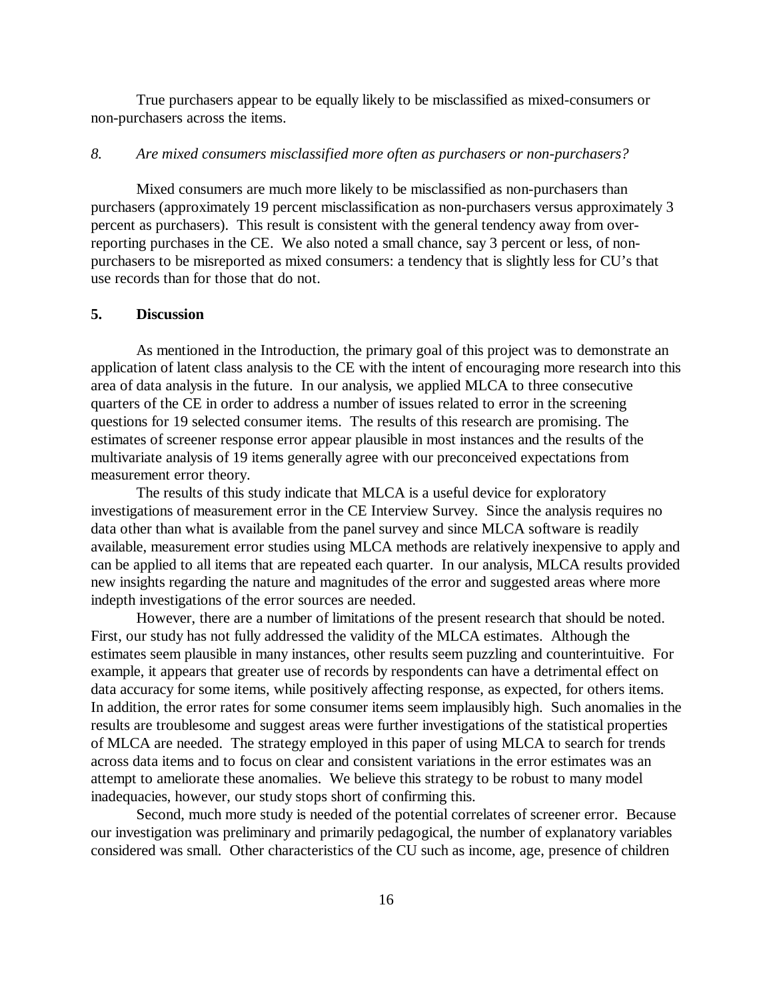True purchasers appear to be equally likely to be misclassified as mixed-consumers or non-purchasers across the items.

#### *8. Are mixed consumers misclassified more often as purchasers or non-purchasers?*

Mixed consumers are much more likely to be misclassified as non-purchasers than purchasers (approximately 19 percent misclassification as non-purchasers versus approximately 3 percent as purchasers). This result is consistent with the general tendency away from overreporting purchases in the CE. We also noted a small chance, say 3 percent or less, of nonpurchasers to be misreported as mixed consumers: a tendency that is slightly less for CU's that use records than for those that do not.

## **5. Discussion**

As mentioned in the Introduction, the primary goal of this project was to demonstrate an application of latent class analysis to the CE with the intent of encouraging more research into this area of data analysis in the future. In our analysis, we applied MLCA to three consecutive quarters of the CE in order to address a number of issues related to error in the screening questions for 19 selected consumer items. The results of this research are promising. The estimates of screener response error appear plausible in most instances and the results of the multivariate analysis of 19 items generally agree with our preconceived expectations from measurement error theory.

The results of this study indicate that MLCA is a useful device for exploratory investigations of measurement error in the CE Interview Survey. Since the analysis requires no data other than what is available from the panel survey and since MLCA software is readily available, measurement error studies using MLCA methods are relatively inexpensive to apply and can be applied to all items that are repeated each quarter. In our analysis, MLCA results provided new insights regarding the nature and magnitudes of the error and suggested areas where more indepth investigations of the error sources are needed.

However, there are a number of limitations of the present research that should be noted. First, our study has not fully addressed the validity of the MLCA estimates. Although the estimates seem plausible in many instances, other results seem puzzling and counterintuitive. For example, it appears that greater use of records by respondents can have a detrimental effect on data accuracy for some items, while positively affecting response, as expected, for others items. In addition, the error rates for some consumer items seem implausibly high. Such anomalies in the results are troublesome and suggest areas were further investigations of the statistical properties of MLCA are needed. The strategy employed in this paper of using MLCA to search for trends across data items and to focus on clear and consistent variations in the error estimates was an attempt to ameliorate these anomalies. We believe this strategy to be robust to many model inadequacies, however, our study stops short of confirming this.

Second, much more study is needed of the potential correlates of screener error. Because our investigation was preliminary and primarily pedagogical, the number of explanatory variables considered was small. Other characteristics of the CU such as income, age, presence of children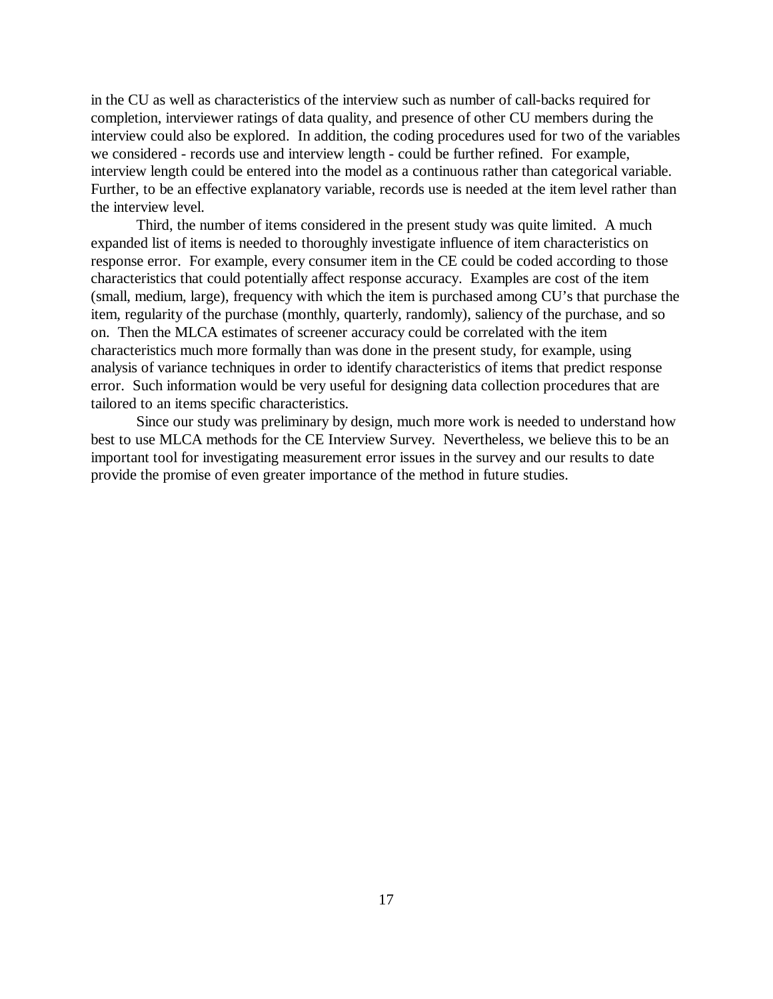in the CU as well as characteristics of the interview such as number of call-backs required for completion, interviewer ratings of data quality, and presence of other CU members during the interview could also be explored. In addition, the coding procedures used for two of the variables we considered - records use and interview length - could be further refined. For example, interview length could be entered into the model as a continuous rather than categorical variable. Further, to be an effective explanatory variable, records use is needed at the item level rather than the interview level.

Third, the number of items considered in the present study was quite limited. A much expanded list of items is needed to thoroughly investigate influence of item characteristics on response error. For example, every consumer item in the CE could be coded according to those characteristics that could potentially affect response accuracy. Examples are cost of the item (small, medium, large), frequency with which the item is purchased among CU's that purchase the item, regularity of the purchase (monthly, quarterly, randomly), saliency of the purchase, and so on. Then the MLCA estimates of screener accuracy could be correlated with the item characteristics much more formally than was done in the present study, for example, using analysis of variance techniques in order to identify characteristics of items that predict response error. Such information would be very useful for designing data collection procedures that are tailored to an items specific characteristics.

Since our study was preliminary by design, much more work is needed to understand how best to use MLCA methods for the CE Interview Survey. Nevertheless, we believe this to be an important tool for investigating measurement error issues in the survey and our results to date provide the promise of even greater importance of the method in future studies.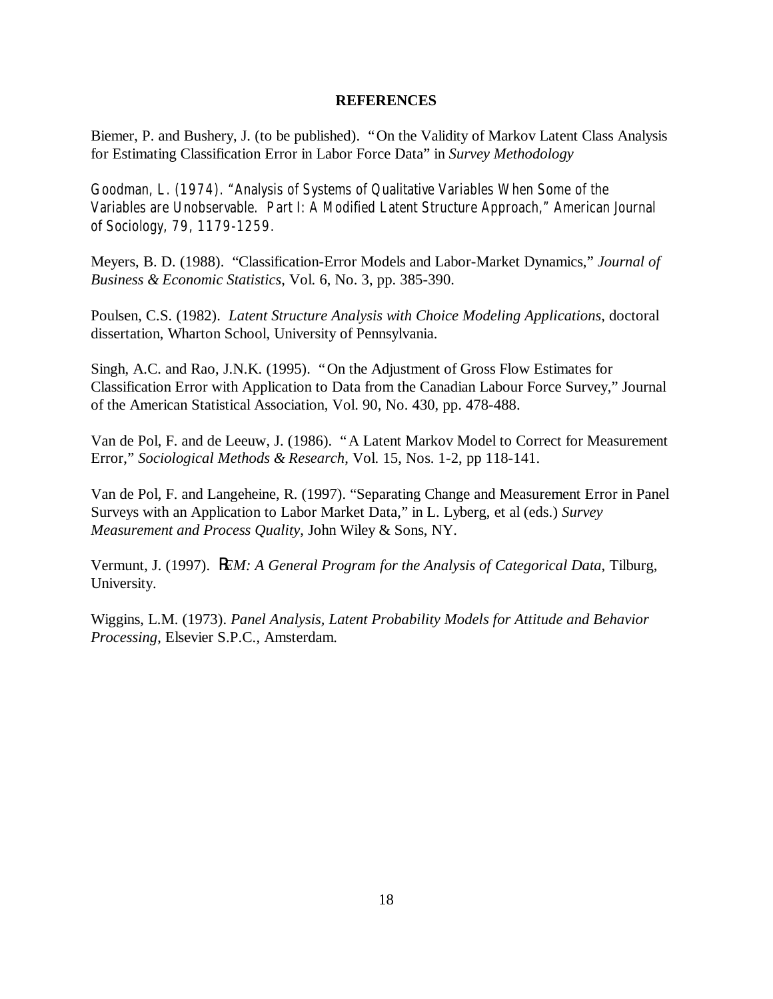#### **REFERENCES**

Biemer, P. and Bushery, J. (to be published). "On the Validity of Markov Latent Class Analysis for Estimating Classification Error in Labor Force Data" in *Survey Methodology*

Goodman, L. (1974). "Analysis of Systems of Qualitative Variables When Some of the Variables are Unobservable. Part I: A Modified Latent Structure Approach," *American Journal of Sociology*, 79, 1179-1259.

Meyers, B. D. (1988). "Classification-Error Models and Labor-Market Dynamics," *Journal of Business & Economic Statistics*, Vol. 6, No. 3, pp. 385-390.

Poulsen, C.S. (1982). *Latent Structure Analysis with Choice Modeling Applications*, doctoral dissertation, Wharton School, University of Pennsylvania.

Singh, A.C. and Rao, J.N.K. (1995). "On the Adjustment of Gross Flow Estimates for Classification Error with Application to Data from the Canadian Labour Force Survey," Journal of the American Statistical Association, Vol. 90, No. 430, pp. 478-488.

Van de Pol, F. and de Leeuw, J. (1986). "A Latent Markov Model to Correct for Measurement Error," *Sociological Methods & Research*, Vol. 15, Nos. 1-2, pp 118-141.

Van de Pol, F. and Langeheine, R. (1997). "Separating Change and Measurement Error in Panel Surveys with an Application to Labor Market Data," in L. Lyberg, et al (eds.) *Survey Measurement and Process Quality*, John Wiley & Sons, NY.

Vermunt, J. (1997). *REM: A General Program for the Analysis of Categorical Data*, Tilburg, University.

Wiggins, L.M. (1973). *Panel Analysis, Latent Probability Models for Attitude and Behavior Processing*, Elsevier S.P.C., Amsterdam.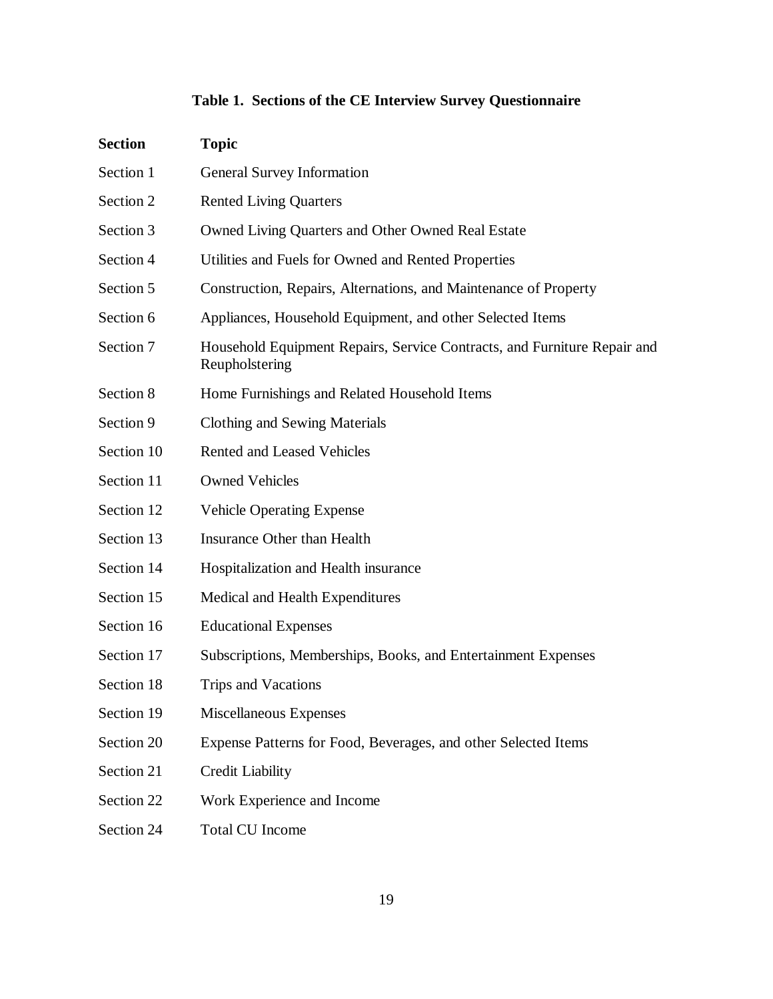# **Table 1. Sections of the CE Interview Survey Questionnaire**

| <b>Section</b> | <b>Topic</b>                                                                               |
|----------------|--------------------------------------------------------------------------------------------|
| Section 1      | General Survey Information                                                                 |
| Section 2      | <b>Rented Living Quarters</b>                                                              |
| Section 3      | Owned Living Quarters and Other Owned Real Estate                                          |
| Section 4      | Utilities and Fuels for Owned and Rented Properties                                        |
| Section 5      | Construction, Repairs, Alternations, and Maintenance of Property                           |
| Section 6      | Appliances, Household Equipment, and other Selected Items                                  |
| Section 7      | Household Equipment Repairs, Service Contracts, and Furniture Repair and<br>Reupholstering |
| Section 8      | Home Furnishings and Related Household Items                                               |
| Section 9      | <b>Clothing and Sewing Materials</b>                                                       |
| Section 10     | Rented and Leased Vehicles                                                                 |
| Section 11     | <b>Owned Vehicles</b>                                                                      |
| Section 12     | <b>Vehicle Operating Expense</b>                                                           |
| Section 13     | Insurance Other than Health                                                                |
| Section 14     | Hospitalization and Health insurance                                                       |
| Section 15     | Medical and Health Expenditures                                                            |
| Section 16     | <b>Educational Expenses</b>                                                                |
| Section 17     | Subscriptions, Memberships, Books, and Entertainment Expenses                              |
| Section 18     | Trips and Vacations                                                                        |
| Section 19     | Miscellaneous Expenses                                                                     |
| Section 20     | Expense Patterns for Food, Beverages, and other Selected Items                             |
| Section 21     | <b>Credit Liability</b>                                                                    |
| Section 22     | Work Experience and Income                                                                 |
| Section 24     | <b>Total CU Income</b>                                                                     |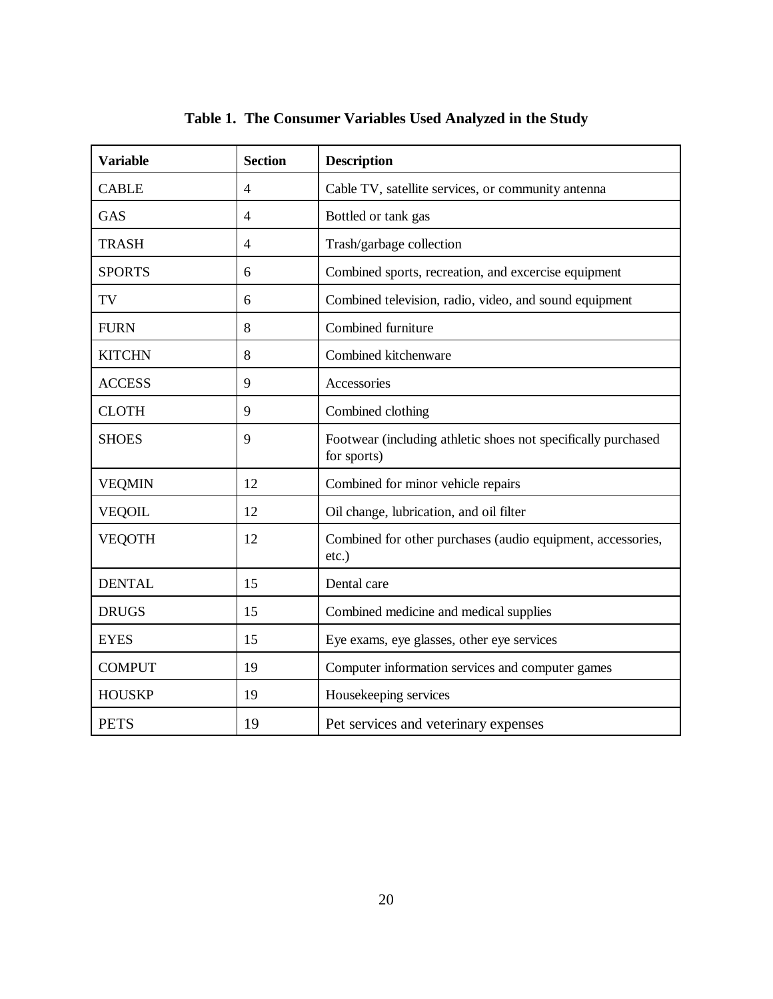| <b>Variable</b> | <b>Section</b> | <b>Description</b>                                                           |
|-----------------|----------------|------------------------------------------------------------------------------|
| <b>CABLE</b>    | $\overline{4}$ | Cable TV, satellite services, or community antenna                           |
| GAS             | $\overline{4}$ | Bottled or tank gas                                                          |
| <b>TRASH</b>    | $\overline{4}$ | Trash/garbage collection                                                     |
| <b>SPORTS</b>   | 6              | Combined sports, recreation, and excercise equipment                         |
| TV              | 6              | Combined television, radio, video, and sound equipment                       |
| <b>FURN</b>     | 8              | Combined furniture                                                           |
| <b>KITCHN</b>   | 8              | Combined kitchenware                                                         |
| <b>ACCESS</b>   | 9              | Accessories                                                                  |
| <b>CLOTH</b>    | 9              | Combined clothing                                                            |
| <b>SHOES</b>    | 9              | Footwear (including athletic shoes not specifically purchased<br>for sports) |
| <b>VEQMIN</b>   | 12             | Combined for minor vehicle repairs                                           |
| <b>VEQOIL</b>   | 12             | Oil change, lubrication, and oil filter                                      |
| <b>VEQOTH</b>   | 12             | Combined for other purchases (audio equipment, accessories,<br>$etc.$ )      |
| <b>DENTAL</b>   | 15             | Dental care                                                                  |
| <b>DRUGS</b>    | 15             | Combined medicine and medical supplies                                       |
| <b>EYES</b>     | 15             | Eye exams, eye glasses, other eye services                                   |
| <b>COMPUT</b>   | 19             | Computer information services and computer games                             |
| <b>HOUSKP</b>   | 19             | Housekeeping services                                                        |
| <b>PETS</b>     | 19             | Pet services and veterinary expenses                                         |

## **Table 1. The Consumer Variables Used Analyzed in the Study**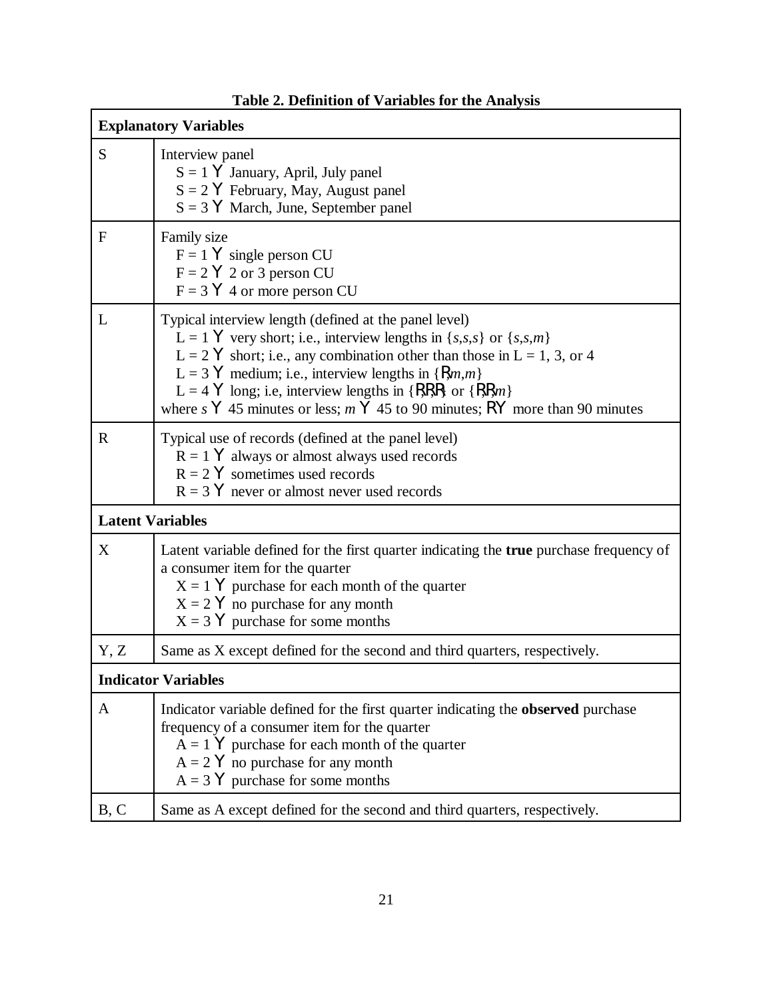|                         | <b>Explanatory Variables</b>                                                                                                                                                                                                                                                                                                                                                                                                                                                 |
|-------------------------|------------------------------------------------------------------------------------------------------------------------------------------------------------------------------------------------------------------------------------------------------------------------------------------------------------------------------------------------------------------------------------------------------------------------------------------------------------------------------|
| S                       | Interview panel<br>$S = 1$ Y January, April, July panel<br>$S = 2$ $\forall$ February, May, August panel<br>$S = 3$ Y March, June, September panel                                                                                                                                                                                                                                                                                                                           |
| $\mathbf{F}$            | Family size<br>$F = 1$ Y single person CU<br>$F = 2 Y 2$ or 3 person CU<br>$F = 3 \text{ Y } 4$ or more person CU                                                                                                                                                                                                                                                                                                                                                            |
| L                       | Typical interview length (defined at the panel level)<br>L = 1 Y very short; i.e., interview lengths in { <i>s</i> , <i>s</i> , <i>s</i> } or { <i>s</i> , <i>s</i> , <i>m</i> }<br>$L = 2$ Y short; i.e., any combination other than those in $L = 1, 3$ , or 4<br>L = 3 Y medium; i.e., interview lengths in $\{Rm,m\}$<br>L = 4 Y long; i.e, interview lengths in $\{RRR\}$ or $\{RRm\}$<br>where s Y 45 minutes or less; $m$ Y 45 to 90 minutes; RY more than 90 minutes |
| $\mathbf R$             | Typical use of records (defined at the panel level)<br>$R = 1$ Y always or almost always used records<br>$R = 2$ Y sometimes used records<br>$R = 3$ Y never or almost never used records                                                                                                                                                                                                                                                                                    |
| <b>Latent Variables</b> |                                                                                                                                                                                                                                                                                                                                                                                                                                                                              |
| X                       | Latent variable defined for the first quarter indicating the true purchase frequency of<br>a consumer item for the quarter<br>$X = 1$ Y purchase for each month of the quarter<br>$X = 2$ Y no purchase for any month<br>$X = 3$ Y purchase for some months                                                                                                                                                                                                                  |
| Y, Z                    | Same as X except defined for the second and third quarters, respectively.                                                                                                                                                                                                                                                                                                                                                                                                    |
|                         | <b>Indicator Variables</b>                                                                                                                                                                                                                                                                                                                                                                                                                                                   |
| A                       | Indicator variable defined for the first quarter indicating the <b>observed</b> purchase<br>frequency of a consumer item for the quarter<br>$A = 1$ Y purchase for each month of the quarter<br>$A = 2$ Y no purchase for any month<br>$A = 3$ Y purchase for some months                                                                                                                                                                                                    |
| B, C                    | Same as A except defined for the second and third quarters, respectively.                                                                                                                                                                                                                                                                                                                                                                                                    |

## **Table 2. Definition of Variables for the Analysis**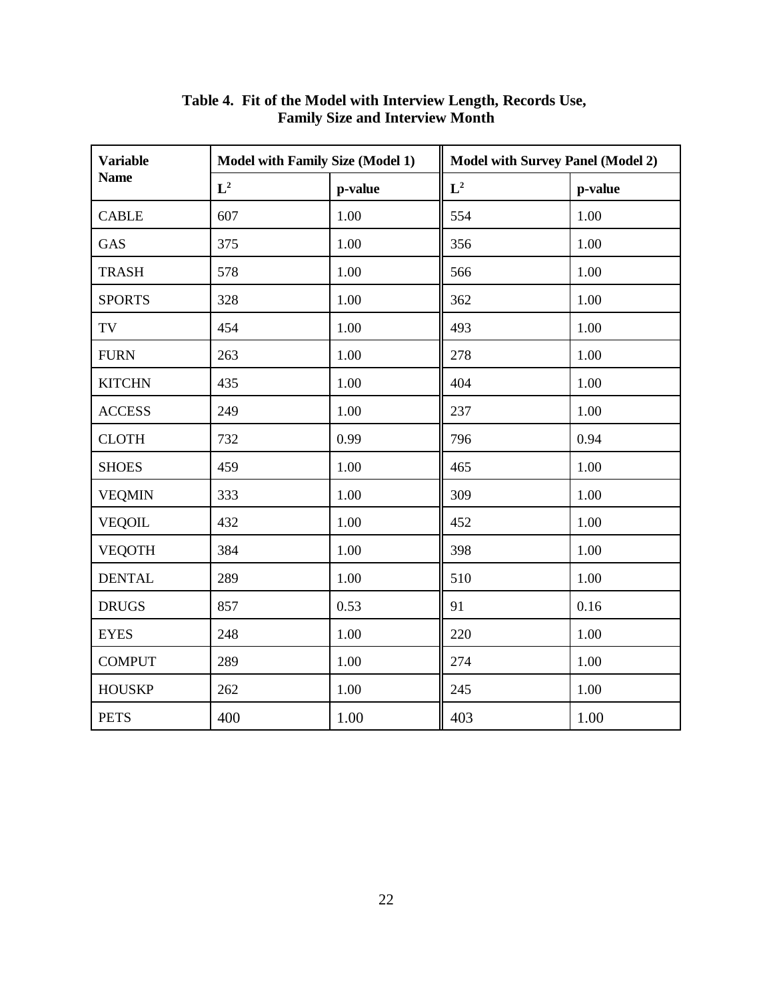| <b>Variable</b> | <b>Model with Family Size (Model 1)</b> |         | <b>Model with Survey Panel (Model 2)</b> |         |  |
|-----------------|-----------------------------------------|---------|------------------------------------------|---------|--|
| <b>Name</b>     | $L^2$                                   | p-value | $L^2$                                    | p-value |  |
| <b>CABLE</b>    | 607                                     | 1.00    | 554                                      | 1.00    |  |
| <b>GAS</b>      | 375                                     | 1.00    | 356                                      | 1.00    |  |
| <b>TRASH</b>    | 578                                     | 1.00    | 566                                      | 1.00    |  |
| <b>SPORTS</b>   | 328                                     | 1.00    | 362                                      | 1.00    |  |
| TV              | 454                                     | 1.00    | 493                                      | 1.00    |  |
| <b>FURN</b>     | 263                                     | 1.00    | 278                                      | 1.00    |  |
| <b>KITCHN</b>   | 435                                     | 1.00    | 404                                      | 1.00    |  |
| <b>ACCESS</b>   | 249                                     | 1.00    | 237                                      | 1.00    |  |
| <b>CLOTH</b>    | 732                                     | 0.99    | 796                                      | 0.94    |  |
| <b>SHOES</b>    | 459                                     | 1.00    | 465                                      | 1.00    |  |
| <b>VEQMIN</b>   | 333                                     | 1.00    | 309                                      | 1.00    |  |
| <b>VEQOIL</b>   | 432                                     | 1.00    | 452                                      | 1.00    |  |
| <b>VEQOTH</b>   | 384                                     | 1.00    | 398                                      | 1.00    |  |
| <b>DENTAL</b>   | 289                                     | 1.00    | 510                                      | 1.00    |  |
| <b>DRUGS</b>    | 857                                     | 0.53    | 91                                       | 0.16    |  |
| <b>EYES</b>     | 248                                     | 1.00    | 220                                      | 1.00    |  |
| <b>COMPUT</b>   | 289                                     | 1.00    | 274                                      | 1.00    |  |
| <b>HOUSKP</b>   | 262                                     | 1.00    | 245                                      | 1.00    |  |
| <b>PETS</b>     | 400                                     | 1.00    | 403                                      | 1.00    |  |

**Table 4. Fit of the Model with Interview Length, Records Use, Family Size and Interview Month**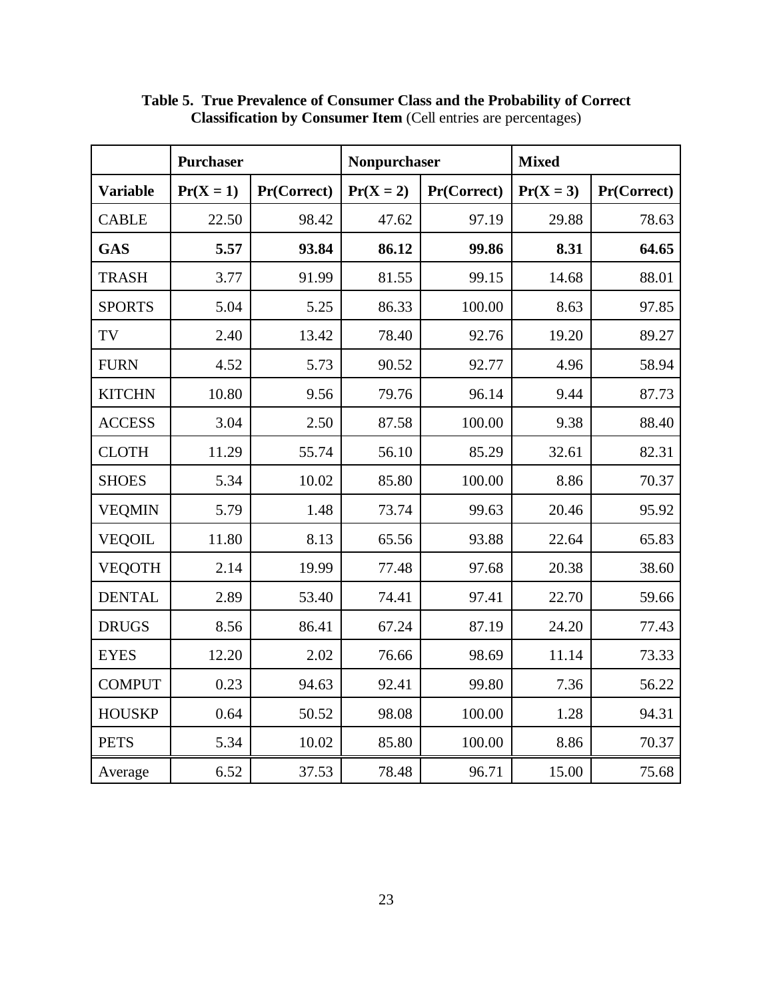|                 | <b>Purchaser</b> |             | <b>Nonpurchaser</b> |             | <b>Mixed</b> |             |  |
|-----------------|------------------|-------------|---------------------|-------------|--------------|-------------|--|
| <b>Variable</b> | $Pr(X = 1)$      | Pr(Correct) | $Pr(X = 2)$         | Pr(Correct) | $Pr(X = 3)$  | Pr(Correct) |  |
| <b>CABLE</b>    | 22.50            | 98.42       | 47.62               | 97.19       | 29.88        | 78.63       |  |
| <b>GAS</b>      | 5.57             | 93.84       | 86.12               | 99.86       | 8.31         | 64.65       |  |
| <b>TRASH</b>    | 3.77             | 91.99       | 81.55               | 99.15       | 14.68        | 88.01       |  |
| <b>SPORTS</b>   | 5.04             | 5.25        | 86.33               | 100.00      | 8.63         | 97.85       |  |
| TV              | 2.40             | 13.42       | 78.40               | 92.76       | 19.20        | 89.27       |  |
| <b>FURN</b>     | 4.52             | 5.73        | 90.52               | 92.77       | 4.96         | 58.94       |  |
| <b>KITCHN</b>   | 10.80            | 9.56        | 79.76               | 96.14       | 9.44         | 87.73       |  |
| <b>ACCESS</b>   | 3.04             | 2.50        | 87.58               | 100.00      | 9.38         | 88.40       |  |
| <b>CLOTH</b>    | 11.29            | 55.74       | 56.10               | 85.29       | 32.61        | 82.31       |  |
| <b>SHOES</b>    | 5.34             | 10.02       | 85.80               | 100.00      | 8.86         | 70.37       |  |
| <b>VEQMIN</b>   | 5.79             | 1.48        | 73.74               | 99.63       | 20.46        | 95.92       |  |
| <b>VEQOIL</b>   | 11.80            | 8.13        | 65.56               | 93.88       | 22.64        | 65.83       |  |
| <b>VEQOTH</b>   | 2.14             | 19.99       | 77.48               | 97.68       | 20.38        | 38.60       |  |
| <b>DENTAL</b>   | 2.89             | 53.40       | 74.41               | 97.41       | 22.70        | 59.66       |  |
| <b>DRUGS</b>    | 8.56             | 86.41       | 67.24               | 87.19       | 24.20        | 77.43       |  |
| <b>EYES</b>     | 12.20            | 2.02        | 76.66               | 98.69       | 11.14        | 73.33       |  |
| <b>COMPUT</b>   | 0.23             | 94.63       | 92.41               | 99.80       | 7.36         | 56.22       |  |
| <b>HOUSKP</b>   | 0.64             | 50.52       | 98.08               | 100.00      | 1.28         | 94.31       |  |
| <b>PETS</b>     | 5.34             | 10.02       | 85.80               | 100.00      | 8.86         | 70.37       |  |
| Average         | 6.52             | 37.53       | 78.48               | 96.71       | 15.00        | 75.68       |  |

**Table 5. True Prevalence of Consumer Class and the Probability of Correct Classification by Consumer Item** (Cell entries are percentages)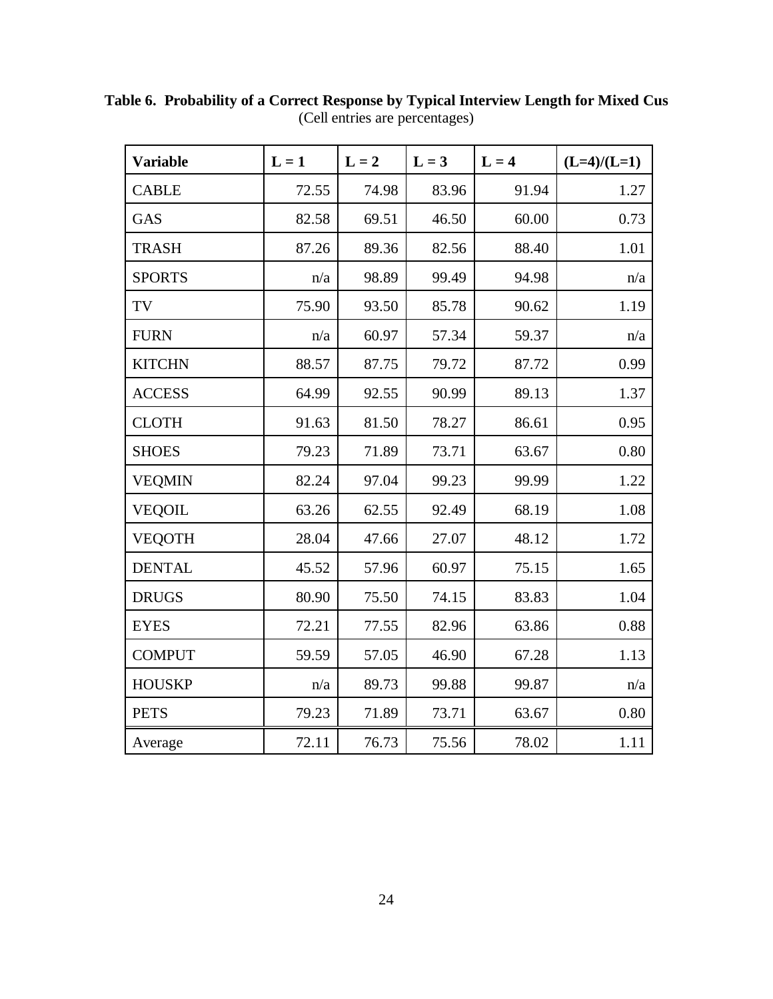| <b>Variable</b> | $L = 1$ | $L = 2$ | $L = 3$ | $L = 4$ | $(L=4)/(L=1)$ |
|-----------------|---------|---------|---------|---------|---------------|
| <b>CABLE</b>    | 72.55   | 74.98   | 83.96   | 91.94   | 1.27          |
| <b>GAS</b>      | 82.58   | 69.51   | 46.50   | 60.00   | 0.73          |
| <b>TRASH</b>    | 87.26   | 89.36   | 82.56   | 88.40   | 1.01          |
| <b>SPORTS</b>   | n/a     | 98.89   | 99.49   | 94.98   | n/a           |
| TV              | 75.90   | 93.50   | 85.78   | 90.62   | 1.19          |
| <b>FURN</b>     | n/a     | 60.97   | 57.34   | 59.37   | n/a           |
| <b>KITCHN</b>   | 88.57   | 87.75   | 79.72   | 87.72   | 0.99          |
| <b>ACCESS</b>   | 64.99   | 92.55   | 90.99   | 89.13   | 1.37          |
| <b>CLOTH</b>    | 91.63   | 81.50   | 78.27   | 86.61   | 0.95          |
| <b>SHOES</b>    | 79.23   | 71.89   | 73.71   | 63.67   | 0.80          |
| <b>VEQMIN</b>   | 82.24   | 97.04   | 99.23   | 99.99   | 1.22          |
| <b>VEQOIL</b>   | 63.26   | 62.55   | 92.49   | 68.19   | 1.08          |
| <b>VEQOTH</b>   | 28.04   | 47.66   | 27.07   | 48.12   | 1.72          |
| <b>DENTAL</b>   | 45.52   | 57.96   | 60.97   | 75.15   | 1.65          |
| <b>DRUGS</b>    | 80.90   | 75.50   | 74.15   | 83.83   | 1.04          |
| <b>EYES</b>     | 72.21   | 77.55   | 82.96   | 63.86   | 0.88          |
| <b>COMPUT</b>   | 59.59   | 57.05   | 46.90   | 67.28   | 1.13          |
| <b>HOUSKP</b>   | n/a     | 89.73   | 99.88   | 99.87   | n/a           |
| <b>PETS</b>     | 79.23   | 71.89   | 73.71   | 63.67   | 0.80          |
| Average         | 72.11   | 76.73   | 75.56   | 78.02   | 1.11          |

**Table 6. Probability of a Correct Response by Typical Interview Length for Mixed Cus** (Cell entries are percentages)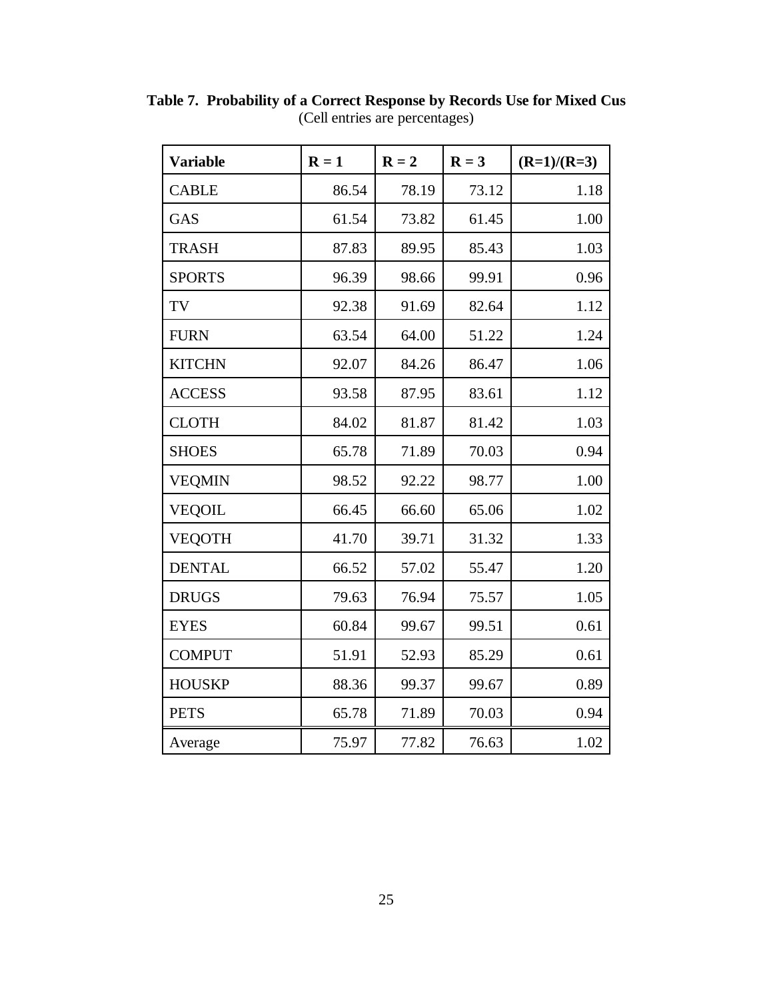| <b>Variable</b> | $R = 1$ | $R = 2$ | $R = 3$ | $(R=1)/(R=3)$ |
|-----------------|---------|---------|---------|---------------|
| <b>CABLE</b>    | 86.54   | 78.19   | 73.12   | 1.18          |
| GAS             | 61.54   | 73.82   | 61.45   | 1.00          |
| <b>TRASH</b>    | 87.83   | 89.95   | 85.43   | 1.03          |
| <b>SPORTS</b>   | 96.39   | 98.66   | 99.91   | 0.96          |
| TV              | 92.38   | 91.69   | 82.64   | 1.12          |
| <b>FURN</b>     | 63.54   | 64.00   | 51.22   | 1.24          |
| <b>KITCHN</b>   | 92.07   | 84.26   | 86.47   | 1.06          |
| <b>ACCESS</b>   | 93.58   | 87.95   | 83.61   | 1.12          |
| <b>CLOTH</b>    | 84.02   | 81.87   | 81.42   | 1.03          |
| <b>SHOES</b>    | 65.78   | 71.89   | 70.03   | 0.94          |
| <b>VEQMIN</b>   | 98.52   | 92.22   | 98.77   | 1.00          |
| <b>VEQOIL</b>   | 66.45   | 66.60   | 65.06   | 1.02          |
| <b>VEQOTH</b>   | 41.70   | 39.71   | 31.32   | 1.33          |
| <b>DENTAL</b>   | 66.52   | 57.02   | 55.47   | 1.20          |
| <b>DRUGS</b>    | 79.63   | 76.94   | 75.57   | 1.05          |
| <b>EYES</b>     | 60.84   | 99.67   | 99.51   | 0.61          |
| <b>COMPUT</b>   | 51.91   | 52.93   | 85.29   | 0.61          |
| <b>HOUSKP</b>   | 88.36   | 99.37   | 99.67   | 0.89          |
| <b>PETS</b>     | 65.78   | 71.89   | 70.03   | 0.94          |
| Average         | 75.97   | 77.82   | 76.63   | 1.02          |

**Table 7. Probability of a Correct Response by Records Use for Mixed Cus** (Cell entries are percentages)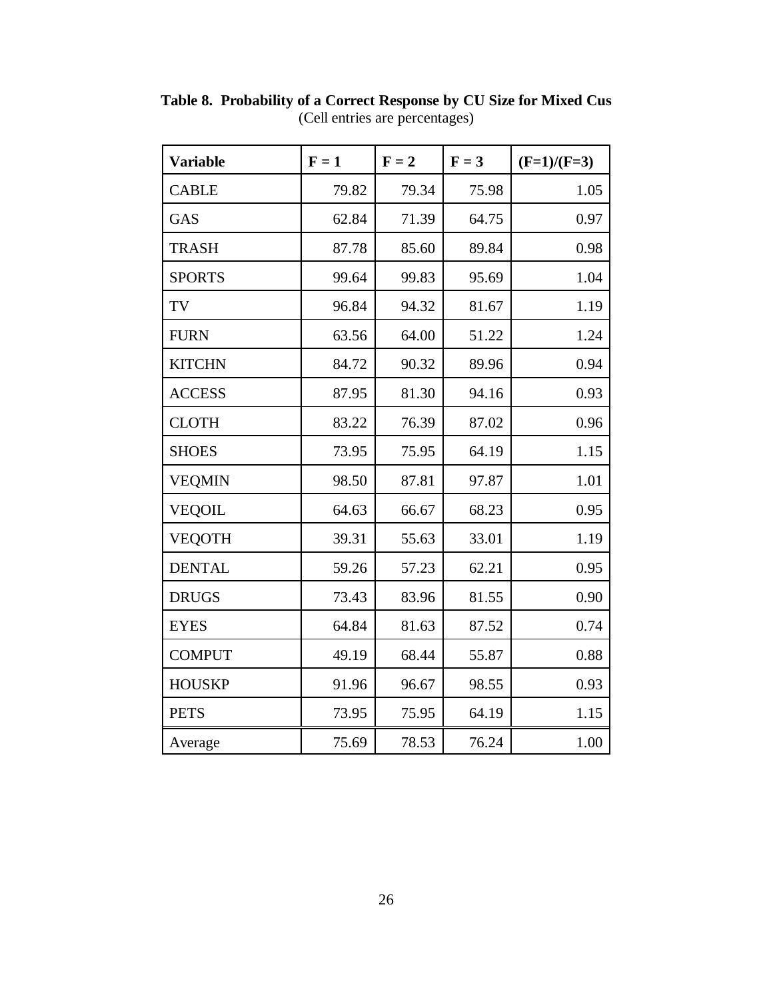| <b>Variable</b> | $F = 1$ | $F = 2$ | $F = 3$ | $(F=1)/(F=3)$ |
|-----------------|---------|---------|---------|---------------|
| <b>CABLE</b>    | 79.82   | 79.34   | 75.98   | 1.05          |
| <b>GAS</b>      | 62.84   | 71.39   | 64.75   | 0.97          |
| <b>TRASH</b>    | 87.78   | 85.60   | 89.84   | 0.98          |
| <b>SPORTS</b>   | 99.64   | 99.83   | 95.69   | 1.04          |
| TV              | 96.84   | 94.32   | 81.67   | 1.19          |
| <b>FURN</b>     | 63.56   | 64.00   | 51.22   | 1.24          |
| <b>KITCHN</b>   | 84.72   | 90.32   | 89.96   | 0.94          |
| <b>ACCESS</b>   | 87.95   | 81.30   | 94.16   | 0.93          |
| <b>CLOTH</b>    | 83.22   | 76.39   | 87.02   | 0.96          |
| <b>SHOES</b>    | 73.95   | 75.95   | 64.19   | 1.15          |
| <b>VEQMIN</b>   | 98.50   | 87.81   | 97.87   | 1.01          |
| <b>VEQOIL</b>   | 64.63   | 66.67   | 68.23   | 0.95          |
| <b>VEQOTH</b>   | 39.31   | 55.63   | 33.01   | 1.19          |
| <b>DENTAL</b>   | 59.26   | 57.23   | 62.21   | 0.95          |
| <b>DRUGS</b>    | 73.43   | 83.96   | 81.55   | 0.90          |
| <b>EYES</b>     | 64.84   | 81.63   | 87.52   | 0.74          |
| <b>COMPUT</b>   | 49.19   | 68.44   | 55.87   | 0.88          |
| <b>HOUSKP</b>   | 91.96   | 96.67   | 98.55   | 0.93          |
| <b>PETS</b>     | 73.95   | 75.95   | 64.19   | 1.15          |
| Average         | 75.69   | 78.53   | 76.24   | 1.00          |

**Table 8. Probability of a Correct Response by CU Size for Mixed Cus** (Cell entries are percentages)